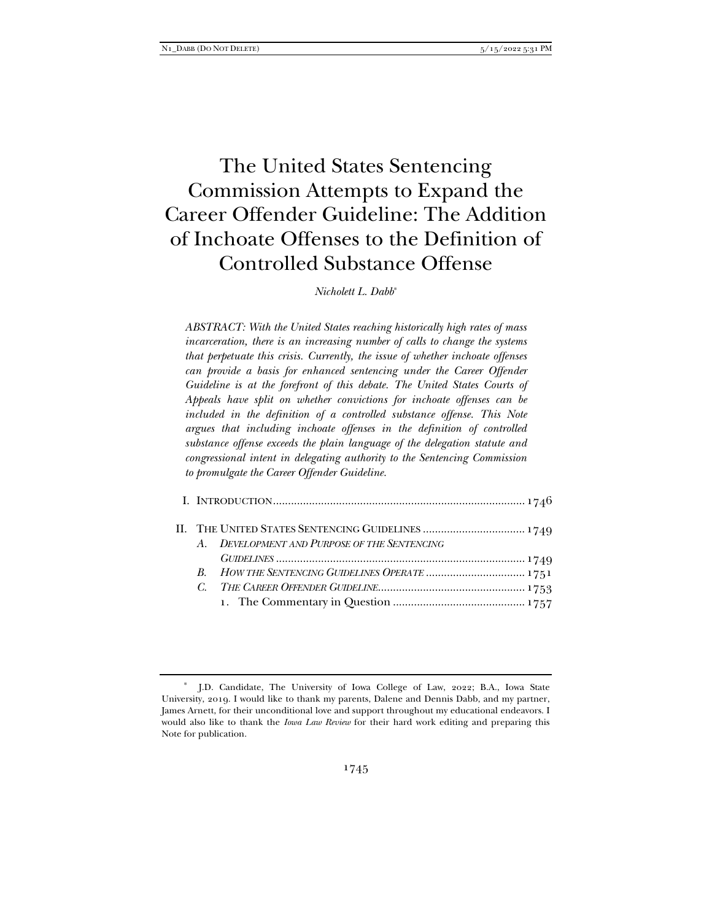# The United States Sentencing Commission Attempts to Expand the Career Offender Guideline: The Addition of Inchoate Offenses to the Definition of Controlled Substance Offense

*Nicholett L. Dabb*\*

*ABSTRACT: With the United States reaching historically high rates of mass incarceration, there is an increasing number of calls to change the systems that perpetuate this crisis. Currently, the issue of whether inchoate offenses can provide a basis for enhanced sentencing under the Career Offender Guideline is at the forefront of this debate. The United States Courts of Appeals have split on whether convictions for inchoate offenses can be included in the definition of a controlled substance offense. This Note argues that including inchoate offenses in the definition of controlled substance offense exceeds the plain language of the delegation statute and congressional intent in delegating authority to the Sentencing Commission to promulgate the Career Offender Guideline.* 

| A. DEVELOPMENT AND PURPOSE OF THE SENTENCING   |  |
|------------------------------------------------|--|
|                                                |  |
| B. HOW THE SENTENCING GUIDELINES OPERATE  1751 |  |
|                                                |  |
|                                                |  |

<sup>\*</sup> J.D. Candidate, The University of Iowa College of Law, 2022; B.A., Iowa State University, 2019. I would like to thank my parents, Dalene and Dennis Dabb, and my partner, James Arnett, for their unconditional love and support throughout my educational endeavors. I would also like to thank the *Iowa Law Review* for their hard work editing and preparing this Note for publication.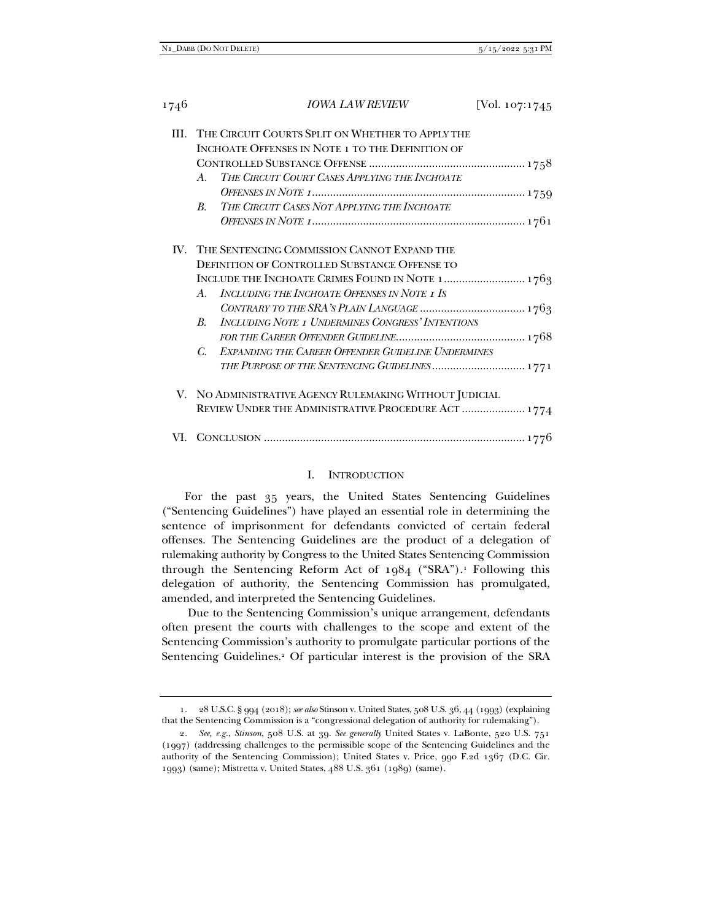| III. THE CIRCUIT COURTS SPLIT ON WHETHER TO APPLY THE                   |
|-------------------------------------------------------------------------|
| INCHOATE OFFENSES IN NOTE 1 TO THE DEFINITION OF                        |
|                                                                         |
| THE CIRCUIT COURT CASES APPLYING THE INCHOATE<br>A.                     |
|                                                                         |
| THE CIRCUIT CASES NOT APPLYING THE INCHOATE<br>B.                       |
|                                                                         |
| IV. THE SENTENCING COMMISSION CANNOT EXPAND THE                         |
| <b>DEFINITION OF CONTROLLED SUBSTANCE OFFENSE TO</b>                    |
| INCLUDE THE INCHOATE CRIMES FOUND IN NOTE 1 1763                        |
| INCLUDING THE INCHOATE OFFENSES IN NOTE 1 IS<br>$A_{-}$                 |
|                                                                         |
| <b>INCLUDING NOTE 1 UNDERMINES CONGRESS' INTENTIONS</b><br>$\mathbf{B}$ |
|                                                                         |
| C. EXPANDING THE CAREER OFFENDER GUIDELINE UNDERMINES                   |
| THE PURPOSE OF THE SENTENCING GUIDELINES  1771                          |
| V. NO ADMINISTRATIVE AGENCY RULEMAKING WITHOUT JUDICIAL                 |
| REVIEW UNDER THE ADMINISTRATIVE PROCEDURE ACT  1774                     |
|                                                                         |
|                                                                         |

#### I. INTRODUCTION

For the past 35 years, the United States Sentencing Guidelines ("Sentencing Guidelines") have played an essential role in determining the sentence of imprisonment for defendants convicted of certain federal offenses. The Sentencing Guidelines are the product of a delegation of rulemaking authority by Congress to the United States Sentencing Commission through the Sentencing Reform Act of  $1984$  ("SRA").<sup>1</sup> Following this delegation of authority, the Sentencing Commission has promulgated, amended, and interpreted the Sentencing Guidelines.

 Due to the Sentencing Commission's unique arrangement, defendants often present the courts with challenges to the scope and extent of the Sentencing Commission's authority to promulgate particular portions of the Sentencing Guidelines.<sup>2</sup> Of particular interest is the provision of the SRA

 <sup>1. 28</sup> U.S.C. § 994 (2018); *see also* Stinson v. United States, 508 U.S. 36, 44 (1993) (explaining that the Sentencing Commission is a "congressional delegation of authority for rulemaking").

<sup>2</sup>*. See, e.g.*, *Stinson*, 508 U.S. at 39. *See generally* United States v. LaBonte, 520 U.S. 751 (1997) (addressing challenges to the permissible scope of the Sentencing Guidelines and the authority of the Sentencing Commission); United States v. Price, 990 F.2d 1367 (D.C. Cir. 1993) (same); Mistretta v. United States, 488 U.S. 361 (1989) (same).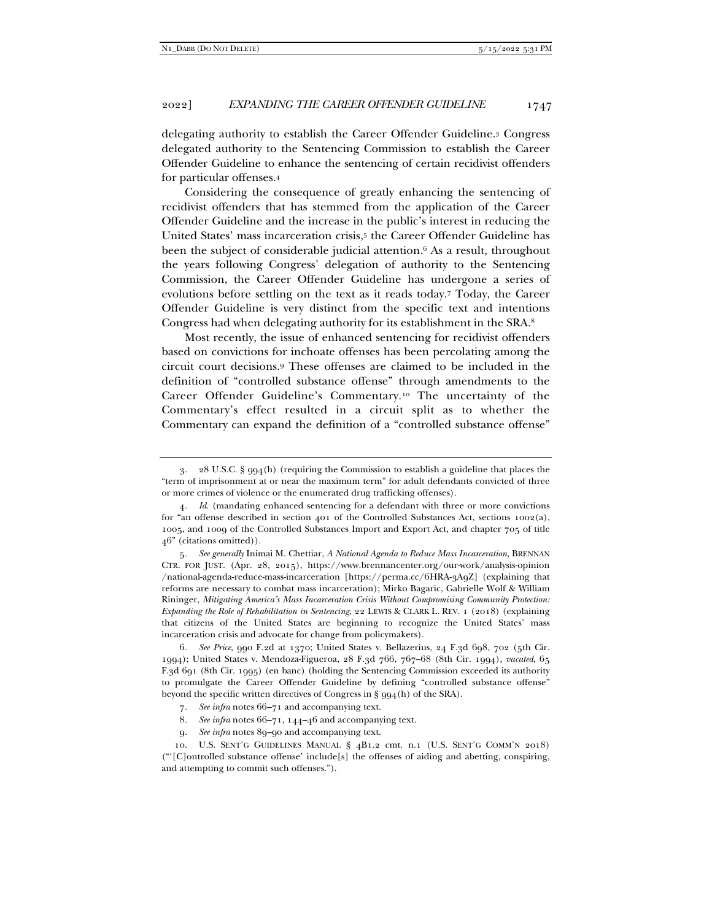delegating authority to establish the Career Offender Guideline.3 Congress delegated authority to the Sentencing Commission to establish the Career Offender Guideline to enhance the sentencing of certain recidivist offenders for particular offenses.4

Considering the consequence of greatly enhancing the sentencing of recidivist offenders that has stemmed from the application of the Career Offender Guideline and the increase in the public's interest in reducing the United States' mass incarceration crisis,5 the Career Offender Guideline has been the subject of considerable judicial attention.<sup>6</sup> As a result, throughout the years following Congress' delegation of authority to the Sentencing Commission, the Career Offender Guideline has undergone a series of evolutions before settling on the text as it reads today.7 Today, the Career Offender Guideline is very distinct from the specific text and intentions Congress had when delegating authority for its establishment in the SRA.8

Most recently, the issue of enhanced sentencing for recidivist offenders based on convictions for inchoate offenses has been percolating among the circuit court decisions.9 These offenses are claimed to be included in the definition of "controlled substance offense" through amendments to the Career Offender Guideline's Commentary.10 The uncertainty of the Commentary's effect resulted in a circuit split as to whether the Commentary can expand the definition of a "controlled substance offense"

5*. See generally* Inimai M. Chettiar, *A National Agenda to Reduce Mass Incarceration*, BRENNAN CTR. FOR JUST. (Apr. 28, 2015), https://www.brennancenter.org/our-work/analysis-opinion /national-agenda-reduce-mass-incarceration [https://perma.cc/6HRA-3A9Z] (explaining that reforms are necessary to combat mass incarceration); Mirko Bagaric, Gabrielle Wolf & William Rininger, *Mitigating America's Mass Incarceration Crisis Without Compromising Community Protection: Expanding the Role of Rehabilitation in Sentencing*, 22 LEWIS & CLARK L. REV. 1 (2018) (explaining that citizens of the United States are beginning to recognize the United States' mass incarceration crisis and advocate for change from policymakers).

6*. See Price*, 990 F.2d at 1370; United States v. Bellazerius, 24 F.3d 698, 702 (5th Cir. 1994); United States v. Mendoza-Figueroa, 28 F.3d 766, 767–68 (8th Cir. 1994), *vacated*, 65 F.3d 691 (8th Cir. 1995) (en banc) (holding the Sentencing Commission exceeded its authority to promulgate the Career Offender Guideline by defining "controlled substance offense" beyond the specific written directives of Congress in § 994(h) of the SRA).

- 8*. See infra* notes 66–71, 144–46 and accompanying text.
- 9*. See infra* notes 89–90 and accompanying text.

 <sup>3. 28</sup> U.S.C. § 994(h) (requiring the Commission to establish a guideline that places the "term of imprisonment at or near the maximum term" for adult defendants convicted of three or more crimes of violence or the enumerated drug trafficking offenses).

<sup>4</sup>*. Id*. (mandating enhanced sentencing for a defendant with three or more convictions for "an offense described in section 401 of the Controlled Substances Act, sections 1002(a), 1005, and 1009 of the Controlled Substances Import and Export Act, and chapter 705 of title 46" (citations omitted)).

<sup>7</sup>*. See infra* notes 66–71 and accompanying text.

 <sup>10.</sup> U.S. SENT'G GUIDELINES MANUAL § 4B1.2 cmt. n.1 (U.S. SENT'G COMM'N 2018) ("'[C]ontrolled substance offense' include[s] the offenses of aiding and abetting, conspiring, and attempting to commit such offenses.").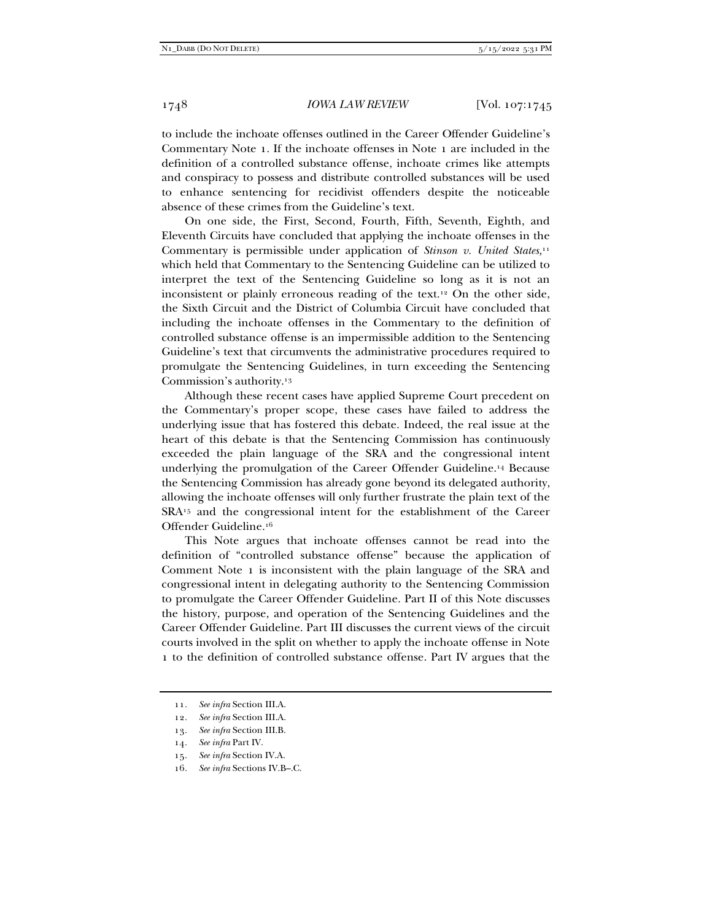to include the inchoate offenses outlined in the Career Offender Guideline's Commentary Note 1. If the inchoate offenses in Note 1 are included in the definition of a controlled substance offense, inchoate crimes like attempts and conspiracy to possess and distribute controlled substances will be used to enhance sentencing for recidivist offenders despite the noticeable absence of these crimes from the Guideline's text.

On one side, the First, Second, Fourth, Fifth, Seventh, Eighth, and Eleventh Circuits have concluded that applying the inchoate offenses in the Commentary is permissible under application of *Stinson v. United States,*<sup>11</sup> which held that Commentary to the Sentencing Guideline can be utilized to interpret the text of the Sentencing Guideline so long as it is not an inconsistent or plainly erroneous reading of the text.12 On the other side, the Sixth Circuit and the District of Columbia Circuit have concluded that including the inchoate offenses in the Commentary to the definition of controlled substance offense is an impermissible addition to the Sentencing Guideline's text that circumvents the administrative procedures required to promulgate the Sentencing Guidelines, in turn exceeding the Sentencing Commission's authority.13

Although these recent cases have applied Supreme Court precedent on the Commentary's proper scope, these cases have failed to address the underlying issue that has fostered this debate. Indeed, the real issue at the heart of this debate is that the Sentencing Commission has continuously exceeded the plain language of the SRA and the congressional intent underlying the promulgation of the Career Offender Guideline.14 Because the Sentencing Commission has already gone beyond its delegated authority, allowing the inchoate offenses will only further frustrate the plain text of the SRA15 and the congressional intent for the establishment of the Career Offender Guideline.16

This Note argues that inchoate offenses cannot be read into the definition of "controlled substance offense" because the application of Comment Note 1 is inconsistent with the plain language of the SRA and congressional intent in delegating authority to the Sentencing Commission to promulgate the Career Offender Guideline. Part II of this Note discusses the history, purpose, and operation of the Sentencing Guidelines and the Career Offender Guideline. Part III discusses the current views of the circuit courts involved in the split on whether to apply the inchoate offense in Note 1 to the definition of controlled substance offense. Part IV argues that the

15*. See infra* Section IV.A.

<sup>11</sup>*. See infra* Section III.A.

<sup>12</sup>*. See infra* Section III.A.

<sup>13</sup>*. See infra* Section III.B.

<sup>14</sup>*. See infra* Part IV.

<sup>16</sup>*. See infra* Sections IV.B–.C.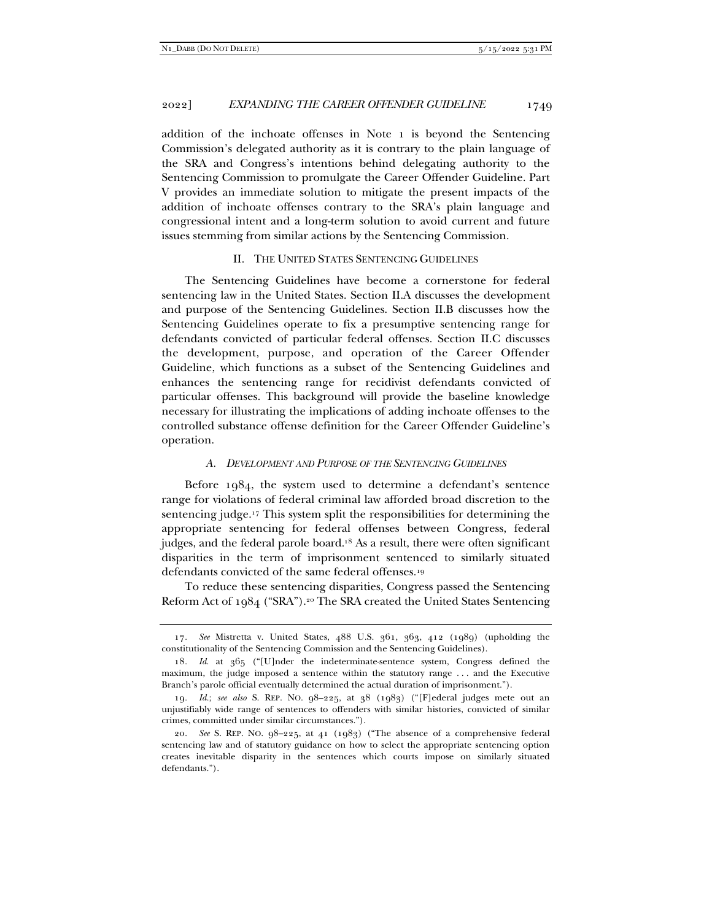addition of the inchoate offenses in Note 1 is beyond the Sentencing Commission's delegated authority as it is contrary to the plain language of the SRA and Congress's intentions behind delegating authority to the Sentencing Commission to promulgate the Career Offender Guideline. Part V provides an immediate solution to mitigate the present impacts of the addition of inchoate offenses contrary to the SRA's plain language and congressional intent and a long-term solution to avoid current and future issues stemming from similar actions by the Sentencing Commission.

#### II. THE UNITED STATES SENTENCING GUIDELINES

The Sentencing Guidelines have become a cornerstone for federal sentencing law in the United States. Section II.A discusses the development and purpose of the Sentencing Guidelines. Section II.B discusses how the Sentencing Guidelines operate to fix a presumptive sentencing range for defendants convicted of particular federal offenses. Section II.C discusses the development, purpose, and operation of the Career Offender Guideline, which functions as a subset of the Sentencing Guidelines and enhances the sentencing range for recidivist defendants convicted of particular offenses. This background will provide the baseline knowledge necessary for illustrating the implications of adding inchoate offenses to the controlled substance offense definition for the Career Offender Guideline's operation.

#### *A. DEVELOPMENT AND PURPOSE OF THE SENTENCING GUIDELINES*

Before 1984, the system used to determine a defendant's sentence range for violations of federal criminal law afforded broad discretion to the sentencing judge.17 This system split the responsibilities for determining the appropriate sentencing for federal offenses between Congress, federal judges, and the federal parole board.18 As a result, there were often significant disparities in the term of imprisonment sentenced to similarly situated defendants convicted of the same federal offenses.19

To reduce these sentencing disparities, Congress passed the Sentencing Reform Act of 1984 ("SRA").20 The SRA created the United States Sentencing

<sup>17</sup>*. See* Mistretta v. United States, 488 U.S. 361, 363, 412 (1989) (upholding the constitutionality of the Sentencing Commission and the Sentencing Guidelines).

<sup>18</sup>*. Id.* at 365 ("[U]nder the indeterminate-sentence system, Congress defined the maximum, the judge imposed a sentence within the statutory range . . . and the Executive Branch's parole official eventually determined the actual duration of imprisonment.").

<sup>19</sup>*. Id.*; *see also* S. REP. NO. 98–225, at 38 (1983) ("[F]ederal judges mete out an unjustifiably wide range of sentences to offenders with similar histories, convicted of similar crimes, committed under similar circumstances.").

<sup>20</sup>*. See* S. REP. NO. 98–225, at 41 (1983) ("The absence of a comprehensive federal sentencing law and of statutory guidance on how to select the appropriate sentencing option creates inevitable disparity in the sentences which courts impose on similarly situated defendants.").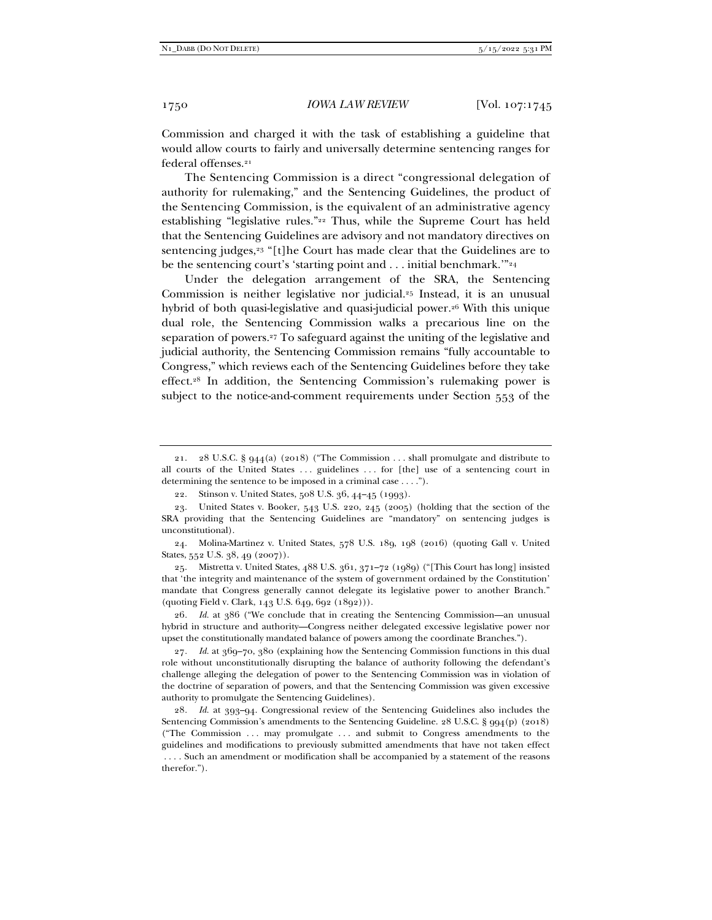Commission and charged it with the task of establishing a guideline that would allow courts to fairly and universally determine sentencing ranges for federal offenses.21

The Sentencing Commission is a direct "congressional delegation of authority for rulemaking," and the Sentencing Guidelines, the product of the Sentencing Commission, is the equivalent of an administrative agency establishing "legislative rules."22 Thus, while the Supreme Court has held that the Sentencing Guidelines are advisory and not mandatory directives on sentencing judges,<sup>23</sup> "[t]he Court has made clear that the Guidelines are to be the sentencing court's 'starting point and  $\dots$  initial benchmark."<sup>24</sup>

Under the delegation arrangement of the SRA, the Sentencing Commission is neither legislative nor judicial.25 Instead, it is an unusual hybrid of both quasi-legislative and quasi-judicial power.<sup>26</sup> With this unique dual role, the Sentencing Commission walks a precarious line on the separation of powers.27 To safeguard against the uniting of the legislative and judicial authority, the Sentencing Commission remains "fully accountable to Congress," which reviews each of the Sentencing Guidelines before they take effect.28 In addition, the Sentencing Commission's rulemaking power is subject to the notice-and-comment requirements under Section 553 of the

 24. Molina-Martinez v. United States, 578 U.S. 189, 198 (2016) (quoting Gall v. United States, 552 U.S. 38, 49 (2007)).

 25. Mistretta v. United States, 488 U.S. 361, 371–72 (1989) ("[This Court has long] insisted that 'the integrity and maintenance of the system of government ordained by the Constitution' mandate that Congress generally cannot delegate its legislative power to another Branch." (quoting Field v. Clark, 143 U.S. 649, 692 (1892))).

26*. Id.* at 386 ("We conclude that in creating the Sentencing Commission—an unusual hybrid in structure and authority—Congress neither delegated excessive legislative power nor upset the constitutionally mandated balance of powers among the coordinate Branches.").

27*. Id.* at 369–70, 380 (explaining how the Sentencing Commission functions in this dual role without unconstitutionally disrupting the balance of authority following the defendant's challenge alleging the delegation of power to the Sentencing Commission was in violation of the doctrine of separation of powers, and that the Sentencing Commission was given excessive authority to promulgate the Sentencing Guidelines).

28*. Id.* at 393–94. Congressional review of the Sentencing Guidelines also includes the Sentencing Commission's amendments to the Sentencing Guideline. 28 U.S.C. § 994(p) (2018) ("The Commission . . . may promulgate . . . and submit to Congress amendments to the guidelines and modifications to previously submitted amendments that have not taken effect . . . . Such an amendment or modification shall be accompanied by a statement of the reasons therefor.").

 <sup>21. 28</sup> U.S.C. § 944(a) (2018) ("The Commission . . . shall promulgate and distribute to all courts of the United States ... guidelines ... for [the] use of a sentencing court in determining the sentence to be imposed in a criminal case . . . .").

 <sup>22.</sup> Stinson v. United States, 508 U.S. 36, 44–45 (1993).

 <sup>23.</sup> United States v. Booker, 543 U.S. 220, 245 (2005) (holding that the section of the SRA providing that the Sentencing Guidelines are "mandatory" on sentencing judges is unconstitutional).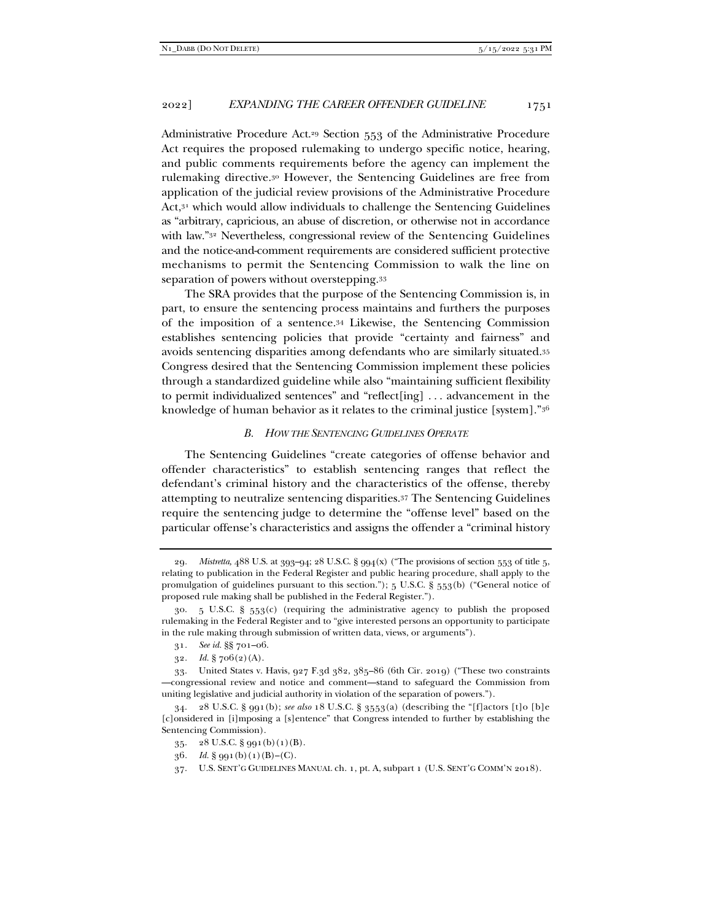Administrative Procedure Act.29 Section 553 of the Administrative Procedure Act requires the proposed rulemaking to undergo specific notice, hearing, and public comments requirements before the agency can implement the rulemaking directive.30 However, the Sentencing Guidelines are free from application of the judicial review provisions of the Administrative Procedure Act,31 which would allow individuals to challenge the Sentencing Guidelines as "arbitrary, capricious, an abuse of discretion, or otherwise not in accordance with law."32 Nevertheless, congressional review of the Sentencing Guidelines and the notice-and-comment requirements are considered sufficient protective mechanisms to permit the Sentencing Commission to walk the line on separation of powers without overstepping.33

The SRA provides that the purpose of the Sentencing Commission is, in part, to ensure the sentencing process maintains and furthers the purposes of the imposition of a sentence.34 Likewise, the Sentencing Commission establishes sentencing policies that provide "certainty and fairness" and avoids sentencing disparities among defendants who are similarly situated.35 Congress desired that the Sentencing Commission implement these policies through a standardized guideline while also "maintaining sufficient flexibility to permit individualized sentences" and "reflect[ing] . . . advancement in the knowledge of human behavior as it relates to the criminal justice [system]."36

#### *B. HOW THE SENTENCING GUIDELINES OPERATE*

The Sentencing Guidelines "create categories of offense behavior and offender characteristics" to establish sentencing ranges that reflect the defendant's criminal history and the characteristics of the offense, thereby attempting to neutralize sentencing disparities.37 The Sentencing Guidelines require the sentencing judge to determine the "offense level" based on the particular offense's characteristics and assigns the offender a "criminal history

<sup>29</sup>*. Mistretta,* 488 U.S. at 393–94; 28 U.S.C. § 994(x) ("The provisions of section 553 of title 5, relating to publication in the Federal Register and public hearing procedure, shall apply to the promulgation of guidelines pursuant to this section."); 5 U.S.C. § 553(b) ("General notice of proposed rule making shall be published in the Federal Register.").

 $30.$  5 U.S.C. §  $553(c)$  (requiring the administrative agency to publish the proposed rulemaking in the Federal Register and to "give interested persons an opportunity to participate in the rule making through submission of written data, views, or arguments").

<sup>31</sup>*. See id.* §§ 701–06.

<sup>32</sup>*. Id.* § 706(2)(A).

 <sup>33.</sup> United States v. Havis, 927 F.3d 382, 385–86 (6th Cir. 2019) ("These two constraints —congressional review and notice and comment—stand to safeguard the Commission from uniting legislative and judicial authority in violation of the separation of powers.").

 <sup>34. 28</sup> U.S.C. § 991(b); *see also* 18 U.S.C. § 3553(a) (describing the "[f]actors [t]o [b]e [c]onsidered in [i]mposing a [s]entence" that Congress intended to further by establishing the Sentencing Commission).

 <sup>35. 28</sup> U.S.C. § 991(b)(1)(B).

<sup>36.</sup> Id.  $\S$  991(b)(1)(B)–(C).

 <sup>37.</sup> U.S. SENT'G GUIDELINES MANUAL ch. 1, pt. A, subpart 1 (U.S. SENT'G COMM'N 2018).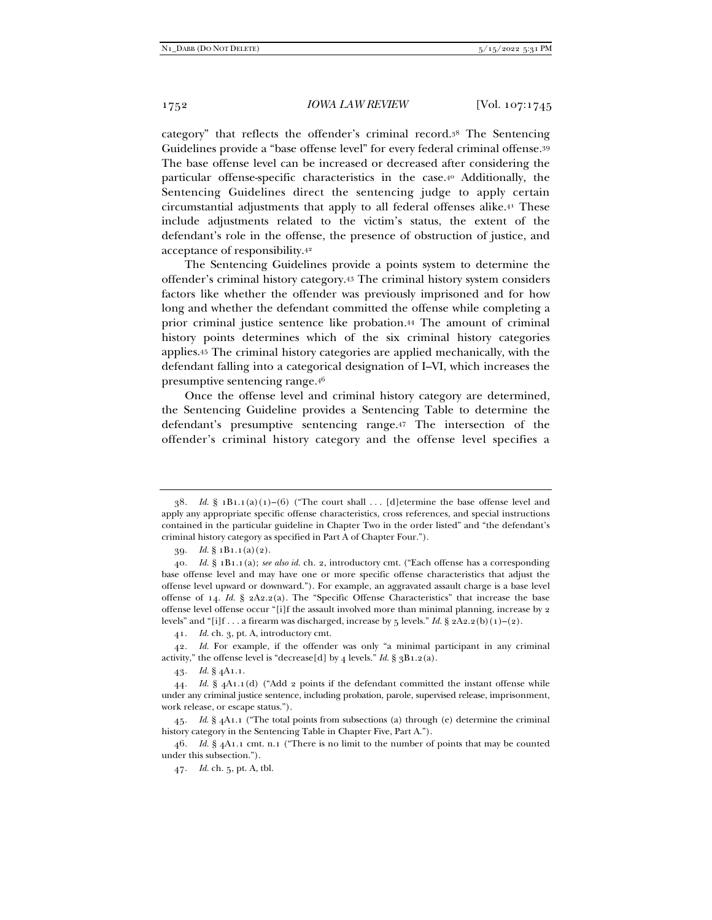category" that reflects the offender's criminal record.38 The Sentencing Guidelines provide a "base offense level" for every federal criminal offense.39 The base offense level can be increased or decreased after considering the particular offense-specific characteristics in the case.40 Additionally, the Sentencing Guidelines direct the sentencing judge to apply certain circumstantial adjustments that apply to all federal offenses alike.41 These include adjustments related to the victim's status, the extent of the defendant's role in the offense, the presence of obstruction of justice, and acceptance of responsibility.42

The Sentencing Guidelines provide a points system to determine the offender's criminal history category.43 The criminal history system considers factors like whether the offender was previously imprisoned and for how long and whether the defendant committed the offense while completing a prior criminal justice sentence like probation.44 The amount of criminal history points determines which of the six criminal history categories applies.45 The criminal history categories are applied mechanically, with the defendant falling into a categorical designation of I–VI, which increases the presumptive sentencing range.46

Once the offense level and criminal history category are determined, the Sentencing Guideline provides a Sentencing Table to determine the defendant's presumptive sentencing range.47 The intersection of the offender's criminal history category and the offense level specifies a

41*. Id.* ch. 3, pt. A, introductory cmt.

42*. Id.* For example, if the offender was only "a minimal participant in any criminal activity," the offense level is "decrease[d] by  $4$  levels." *Id.* §  $3B1.2(a)$ .

46*. Id.* § 4A1.1 cmt. n.1 ("There is no limit to the number of points that may be counted under this subsection.").

47*. Id.* ch. 5, pt. A, tbl.

 $38.$  *Id.*  $\frac{8}{3}$  1B1.1(a)(1)–(6) ("The court shall ... [d] etermine the base offense level and apply any appropriate specific offense characteristics, cross references, and special instructions contained in the particular guideline in Chapter Two in the order listed" and "the defendant's criminal history category as specified in Part A of Chapter Four.").

<sup>39</sup>*. Id.* § 1B1.1(a)(2).

<sup>40</sup>*. Id.* § 1B1.1(a); *see also id.* ch. 2, introductory cmt. ("Each offense has a corresponding base offense level and may have one or more specific offense characteristics that adjust the offense level upward or downward."). For example, an aggravated assault charge is a base level offense of 14. *Id.* §  $2A2.2(a)$ . The "Specific Offense Characteristics" that increase the base offense level offense occur "[i]f the assault involved more than minimal planning, increase by 2 levels" and "[i]f . . . a firearm was discharged, increase by 5 levels." *Id.* §  $2A2.2(b)(1)-(2)$ .

<sup>43</sup>*. Id.* § 4A1.1.

<sup>44</sup>*. Id.* § 4A1.1(d) ("Add 2 points if the defendant committed the instant offense while under any criminal justice sentence, including probation, parole, supervised release, imprisonment, work release, or escape status.").

<sup>45</sup>*. Id.* § 4A1.1 ("The total points from subsections (a) through (e) determine the criminal history category in the Sentencing Table in Chapter Five, Part A.").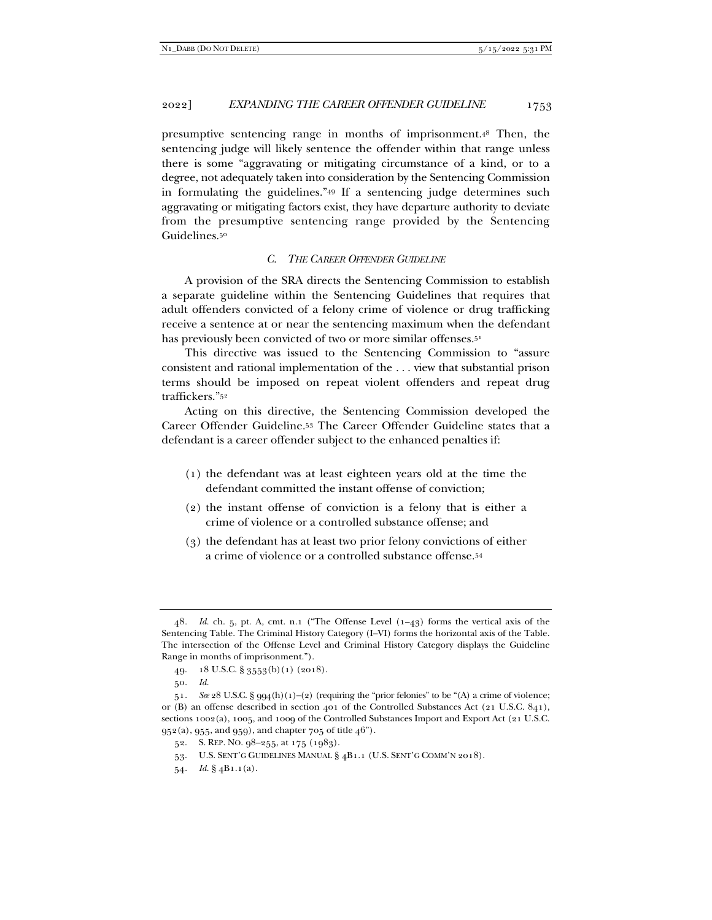presumptive sentencing range in months of imprisonment.48 Then, the sentencing judge will likely sentence the offender within that range unless there is some "aggravating or mitigating circumstance of a kind, or to a degree, not adequately taken into consideration by the Sentencing Commission in formulating the guidelines."49 If a sentencing judge determines such aggravating or mitigating factors exist, they have departure authority to deviate from the presumptive sentencing range provided by the Sentencing Guidelines.50

#### *C. THE CAREER OFFENDER GUIDELINE*

A provision of the SRA directs the Sentencing Commission to establish a separate guideline within the Sentencing Guidelines that requires that adult offenders convicted of a felony crime of violence or drug trafficking receive a sentence at or near the sentencing maximum when the defendant has previously been convicted of two or more similar offenses.<sup>51</sup>

This directive was issued to the Sentencing Commission to "assure consistent and rational implementation of the . . . view that substantial prison terms should be imposed on repeat violent offenders and repeat drug traffickers."52

Acting on this directive, the Sentencing Commission developed the Career Offender Guideline.53 The Career Offender Guideline states that a defendant is a career offender subject to the enhanced penalties if:

- (1) the defendant was at least eighteen years old at the time the defendant committed the instant offense of conviction;
- (2) the instant offense of conviction is a felony that is either a crime of violence or a controlled substance offense; and
- (3) the defendant has at least two prior felony convictions of either a crime of violence or a controlled substance offense.54

<sup>48</sup>*. Id.* ch. 5, pt. A, cmt. n.1 ("The Offense Level (1–43) forms the vertical axis of the Sentencing Table. The Criminal History Category (I–VI) forms the horizontal axis of the Table. The intersection of the Offense Level and Criminal History Category displays the Guideline Range in months of imprisonment.").

 <sup>49. 18</sup> U.S.C. § 3553(b)(1) (2018).

<sup>50</sup>*. Id.*

<sup>51</sup>*. See* 28 U.S.C. § 994(h)(1)–(2) (requiring the "prior felonies" to be "(A) a crime of violence; or (B) an offense described in section 401 of the Controlled Substances Act (21 U.S.C. 841), sections 1002(a), 1005, and 1009 of the Controlled Substances Import and Export Act (21 U.S.C. 952(a), 955, and 959), and chapter 705 of title 46").

 <sup>52.</sup> S. REP. NO. 98–255, at 175 (1983).

 <sup>53.</sup> U.S. SENT'G GUIDELINES MANUAL § 4B1.1 (U.S. SENT'G COMM'N 2018).

<sup>54</sup>*. Id.* § 4B1.1(a).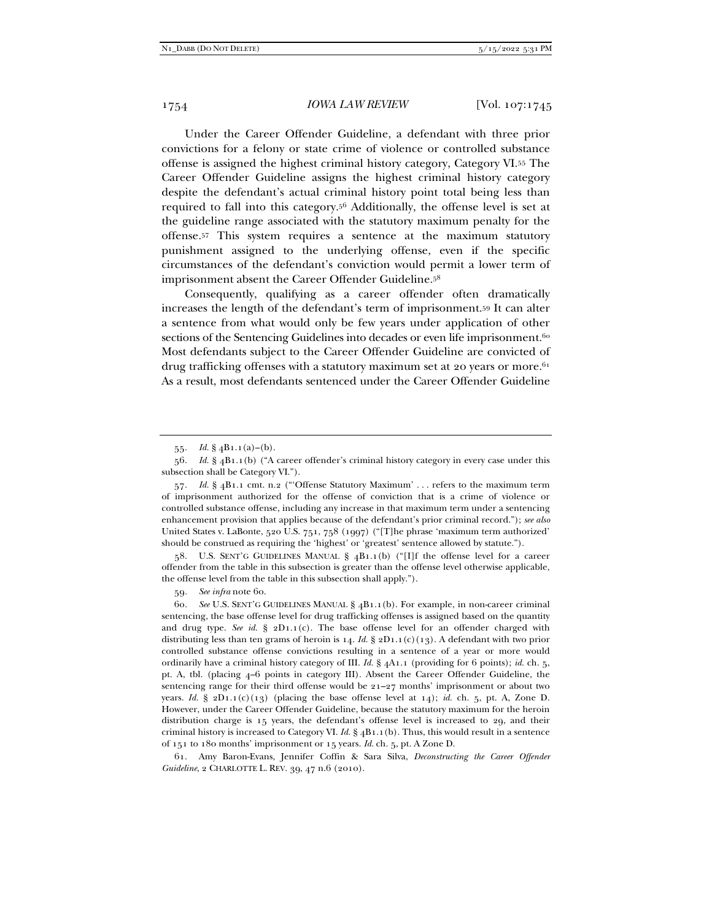Under the Career Offender Guideline, a defendant with three prior convictions for a felony or state crime of violence or controlled substance offense is assigned the highest criminal history category, Category VI.55 The Career Offender Guideline assigns the highest criminal history category despite the defendant's actual criminal history point total being less than required to fall into this category.56 Additionally, the offense level is set at the guideline range associated with the statutory maximum penalty for the offense.57 This system requires a sentence at the maximum statutory punishment assigned to the underlying offense, even if the specific circumstances of the defendant's conviction would permit a lower term of imprisonment absent the Career Offender Guideline.<sup>58</sup>

Consequently, qualifying as a career offender often dramatically increases the length of the defendant's term of imprisonment.59 It can alter a sentence from what would only be few years under application of other sections of the Sentencing Guidelines into decades or even life imprisonment.<sup>60</sup> Most defendants subject to the Career Offender Guideline are convicted of drug trafficking offenses with a statutory maximum set at 20 years or more.<sup>61</sup> As a result, most defendants sentenced under the Career Offender Guideline

 58. U.S. SENT'G GUIDELINES MANUAL § 4B1.1(b) ("[I]f the offense level for a career offender from the table in this subsection is greater than the offense level otherwise applicable, the offense level from the table in this subsection shall apply.").

59*. See infra* note 60.

 61. Amy Baron-Evans, Jennifer Coffin & Sara Silva, *Deconstructing the Career Offender Guideline*, 2 CHARLOTTE L. REV. 39, 47 n.6 (2010).

<sup>55</sup>*. Id.* § 4B1.1(a)–(b).

<sup>56</sup>*. Id.* § 4B1.1(b) ("A career offender's criminal history category in every case under this subsection shall be Category VI.").

<sup>57</sup>*. Id.* § 4B1.1 cmt. n.2 ("'Offense Statutory Maximum' . . . refers to the maximum term of imprisonment authorized for the offense of conviction that is a crime of violence or controlled substance offense, including any increase in that maximum term under a sentencing enhancement provision that applies because of the defendant's prior criminal record."); *see also*  United States v. LaBonte, 520 U.S. 751, 758 (1997) ("[T]he phrase 'maximum term authorized' should be construed as requiring the 'highest' or 'greatest' sentence allowed by statute.").

<sup>60</sup>*. See* U.S. SENT'G GUIDELINES MANUAL § 4B1.1(b). For example, in non-career criminal sentencing, the base offense level for drug trafficking offenses is assigned based on the quantity and drug type. *See id.* § 2D1.1(c). The base offense level for an offender charged with distributing less than ten grams of heroin is  $14$ . *Id.* §  $2D1.1(c)(13)$ . A defendant with two prior controlled substance offense convictions resulting in a sentence of a year or more would ordinarily have a criminal history category of III. *Id.* § 4A1.1 (providing for 6 points); *id.* ch. 5, pt. A, tbl. (placing 4–6 points in category III). Absent the Career Offender Guideline, the sentencing range for their third offense would be  $21-27$  months' imprisonment or about two years. *Id.* §  $2D1.1(c)(13)$  (placing the base offense level at 14); *id.* ch. 5, pt. A, Zone D. However, under the Career Offender Guideline, because the statutory maximum for the heroin distribution charge is 15 years, the defendant's offense level is increased to 29, and their criminal history is increased to Category VI. *Id.* § 4B1.1(b). Thus, this would result in a sentence of 151 to 180 months' imprisonment or 15 years. *Id.* ch. 5, pt. A Zone D.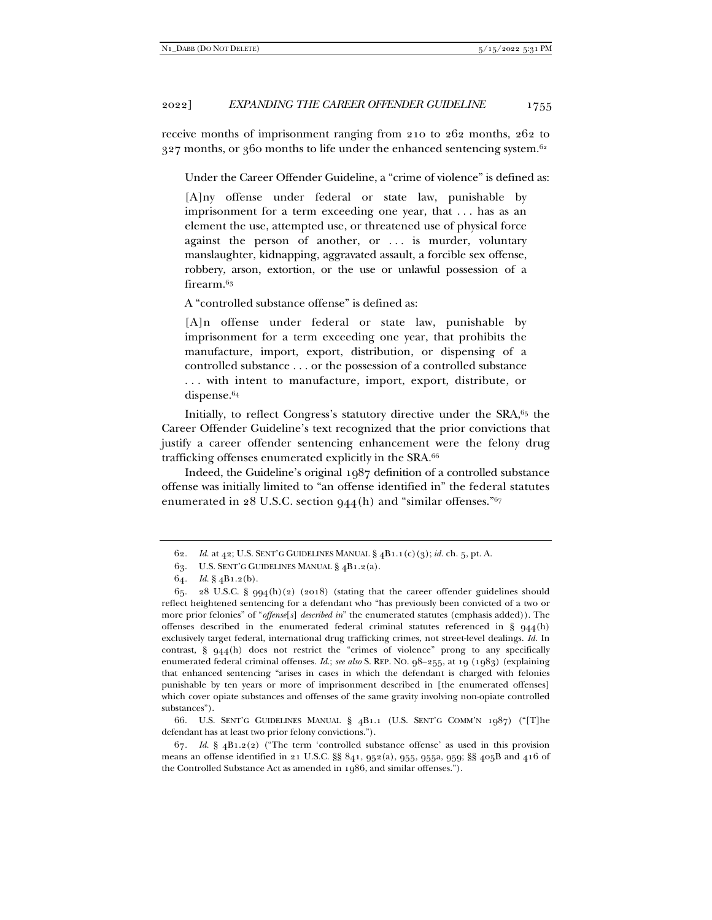receive months of imprisonment ranging from 210 to 262 months, 262 to 327 months, or 360 months to life under the enhanced sentencing system.<sup>62</sup>

Under the Career Offender Guideline, a "crime of violence" is defined as:

[A]ny offense under federal or state law, punishable by imprisonment for a term exceeding one year, that . . . has as an element the use, attempted use, or threatened use of physical force against the person of another, or ... is murder, voluntary manslaughter, kidnapping, aggravated assault, a forcible sex offense, robbery, arson, extortion, or the use or unlawful possession of a firearm.<sup>63</sup>

A "controlled substance offense" is defined as:

[A]n offense under federal or state law, punishable by imprisonment for a term exceeding one year, that prohibits the manufacture, import, export, distribution, or dispensing of a controlled substance . . . or the possession of a controlled substance . . . with intent to manufacture, import, export, distribute, or dispense.64

Initially, to reflect Congress's statutory directive under the SRA,<sup>65</sup> the Career Offender Guideline's text recognized that the prior convictions that justify a career offender sentencing enhancement were the felony drug trafficking offenses enumerated explicitly in the SRA.66

Indeed, the Guideline's original 1987 definition of a controlled substance offense was initially limited to "an offense identified in" the federal statutes enumerated in  $28$  U.S.C. section  $944(h)$  and "similar offenses."<sup>67</sup>

 66. U.S. SENT'G GUIDELINES MANUAL § 4B1.1 (U.S. SENT'G COMM'N 1987) ("[T]he defendant has at least two prior felony convictions.").

67*. Id.* § 4B1.2(2) ("The term 'controlled substance offense' as used in this provision means an offense identified in 21 U.S.C. §§ 841, 952(a), 955, 955a, 959; §§ 405B and 416 of the Controlled Substance Act as amended in 1986, and similar offenses.").

<sup>62</sup>*. Id.* at 42; U.S. SENT'G GUIDELINES MANUAL § 4B1.1(c)(3); *id.* ch. 5, pt. A.

 <sup>63.</sup> U.S. SENT'G GUIDELINES MANUAL § 4B1.2(a).

<sup>64</sup>*. Id.* § 4B1.2(b).

<sup>65. 28</sup> U.S.C. § 994(h)(2) (2018) (stating that the career offender guidelines should reflect heightened sentencing for a defendant who "has previously been convicted of a two or more prior felonies" of "*offense*[*s*] *described in*" the enumerated statutes (emphasis added)). The offenses described in the enumerated federal criminal statutes referenced in  $\S$  944(h) exclusively target federal, international drug trafficking crimes, not street-level dealings. *Id.* In contrast, § 944(h) does not restrict the "crimes of violence" prong to any specifically enumerated federal criminal offenses. *Id.*; *see also* S. REP. NO. 98–255, at 19 (1983) (explaining that enhanced sentencing "arises in cases in which the defendant is charged with felonies punishable by ten years or more of imprisonment described in [the enumerated offenses] which cover opiate substances and offenses of the same gravity involving non-opiate controlled substances").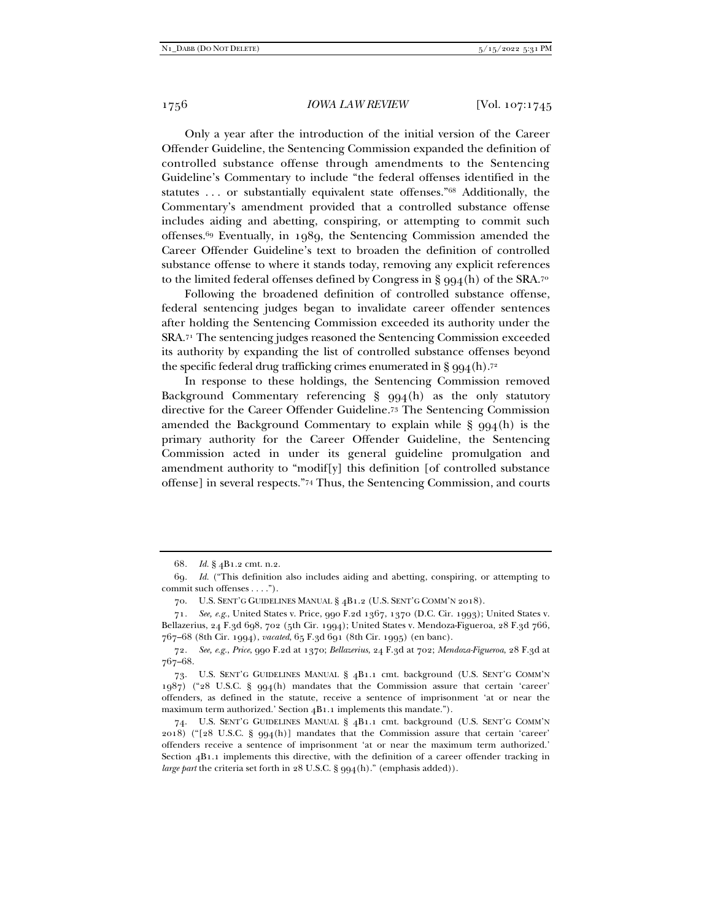Only a year after the introduction of the initial version of the Career Offender Guideline, the Sentencing Commission expanded the definition of controlled substance offense through amendments to the Sentencing Guideline's Commentary to include "the federal offenses identified in the statutes . . . or substantially equivalent state offenses."68 Additionally, the Commentary's amendment provided that a controlled substance offense includes aiding and abetting, conspiring, or attempting to commit such offenses.69 Eventually, in 1989, the Sentencing Commission amended the Career Offender Guideline's text to broaden the definition of controlled substance offense to where it stands today, removing any explicit references to the limited federal offenses defined by Congress in §  $994(h)$  of the SRA.<sup>70</sup>

Following the broadened definition of controlled substance offense, federal sentencing judges began to invalidate career offender sentences after holding the Sentencing Commission exceeded its authority under the SRA.71 The sentencing judges reasoned the Sentencing Commission exceeded its authority by expanding the list of controlled substance offenses beyond the specific federal drug trafficking crimes enumerated in §  $994(h)$ .<sup>72</sup>

In response to these holdings, the Sentencing Commission removed Background Commentary referencing  $\S$   $994(h)$  as the only statutory directive for the Career Offender Guideline.73 The Sentencing Commission amended the Background Commentary to explain while  $\S$   $994(h)$  is the primary authority for the Career Offender Guideline, the Sentencing Commission acted in under its general guideline promulgation and amendment authority to "modif[y] this definition [of controlled substance offense] in several respects."74 Thus, the Sentencing Commission, and courts

<sup>68</sup>*. Id.* § 4B1.2 cmt. n.2.

<sup>69</sup>*. Id.* ("This definition also includes aiding and abetting, conspiring, or attempting to commit such offenses . . . .").

 <sup>70.</sup> U.S. SENT'G GUIDELINES MANUAL § 4B1.2 (U.S. SENT'G COMM'N 2018).

<sup>71</sup>*. See, e.g.*, United States v. Price, 990 F.2d 1367, 1370 (D.C. Cir. 1993); United States v. Bellazerius, 24 F.3d 698, 702 (5th Cir. 1994); United States v. Mendoza-Figueroa, 28 F.3d 766, 767–68 (8th Cir. 1994), *vacated*, 65 F.3d 691 (8th Cir. 1995) (en banc).

<sup>72</sup>*. See, e.g.*, *Price*, 990 F.2d at 1370; *Bellazerius*, 24 F.3d at 702; *Mendoza-Figueroa*, 28 F.3d at 767–68.

 <sup>73.</sup> U.S. SENT'G GUIDELINES MANUAL § 4B1.1 cmt. background (U.S. SENT'G COMM'N 1987) ("28 U.S.C. § 994(h) mandates that the Commission assure that certain 'career' offenders, as defined in the statute, receive a sentence of imprisonment 'at or near the maximum term authorized.' Section 4B1.1 implements this mandate.").

 <sup>74.</sup> U.S. SENT'G GUIDELINES MANUAL § 4B1.1 cmt. background (U.S. SENT'G COMM'N 2018) (" $[28 \text{ U.S.C. } § 994(h)]$  mandates that the Commission assure that certain 'career' offenders receive a sentence of imprisonment 'at or near the maximum term authorized.' Section 4B1.1 implements this directive, with the definition of a career offender tracking in *large part* the criteria set forth in 28 U.S.C. § 994(h)." (emphasis added)).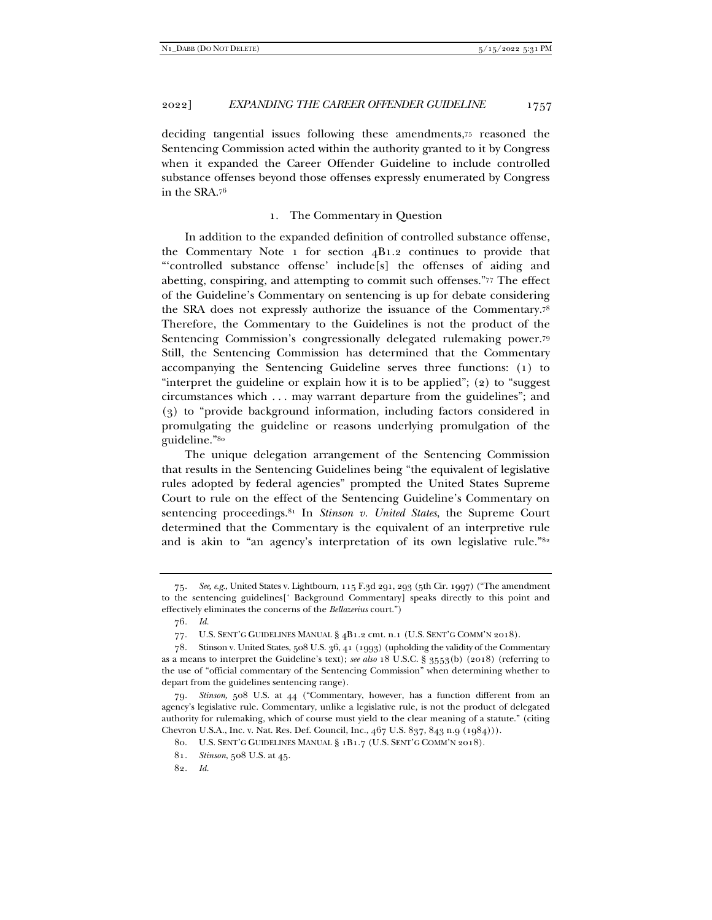deciding tangential issues following these amendments,75 reasoned the Sentencing Commission acted within the authority granted to it by Congress when it expanded the Career Offender Guideline to include controlled substance offenses beyond those offenses expressly enumerated by Congress in the SRA.76

# 1. The Commentary in Question

In addition to the expanded definition of controlled substance offense, the Commentary Note  $_1$  for section  $_4B1.2$  continues to provide that "'controlled substance offense' include[s] the offenses of aiding and abetting, conspiring, and attempting to commit such offenses."77 The effect of the Guideline's Commentary on sentencing is up for debate considering the SRA does not expressly authorize the issuance of the Commentary.78 Therefore, the Commentary to the Guidelines is not the product of the Sentencing Commission's congressionally delegated rulemaking power.79 Still, the Sentencing Commission has determined that the Commentary accompanying the Sentencing Guideline serves three functions: (1) to "interpret the guideline or explain how it is to be applied"; (2) to "suggest circumstances which . . . may warrant departure from the guidelines"; and (3) to "provide background information, including factors considered in promulgating the guideline or reasons underlying promulgation of the guideline."80

The unique delegation arrangement of the Sentencing Commission that results in the Sentencing Guidelines being "the equivalent of legislative rules adopted by federal agencies" prompted the United States Supreme Court to rule on the effect of the Sentencing Guideline's Commentary on sentencing proceedings.81 In *Stinson v. United States*, the Supreme Court determined that the Commentary is the equivalent of an interpretive rule and is akin to "an agency's interpretation of its own legislative rule."<sup>82</sup>

<sup>75</sup>*. See, e.g.*, United States v. Lightbourn, 115 F.3d 291, 293 (5th Cir. 1997) ("The amendment to the sentencing guidelines[' Background Commentary] speaks directly to this point and effectively eliminates the concerns of the *Bellazerius* court.")

<sup>76</sup>*. Id.*

 <sup>77.</sup> U.S. SENT'G GUIDELINES MANUAL § 4B1.2 cmt. n.1 (U.S. SENT'G COMM'N 2018).

 <sup>78.</sup> Stinson v. United States, 508 U.S. 36, 41 (1993) (upholding the validity of the Commentary as a means to interpret the Guideline's text); *see also* 18 U.S.C. § 3553(b) (2018) (referring to the use of "official commentary of the Sentencing Commission" when determining whether to depart from the guidelines sentencing range).

<sup>79</sup>*. Stinson,* 508 U.S. at 44 ("Commentary, however, has a function different from an agency's legislative rule. Commentary, unlike a legislative rule, is not the product of delegated authority for rulemaking, which of course must yield to the clear meaning of a statute." (citing Chevron U.S.A., Inc. v. Nat. Res. Def. Council, Inc., 467 U.S. 837, 843 n.9 (1984))).

 <sup>80.</sup> U.S. SENT'G GUIDELINES MANUAL § 1B1.7 (U.S. SENT'G COMM'N 2018).

<sup>81</sup>*. Stinson*, 508 U.S. at 45.

<sup>82</sup>*. Id.*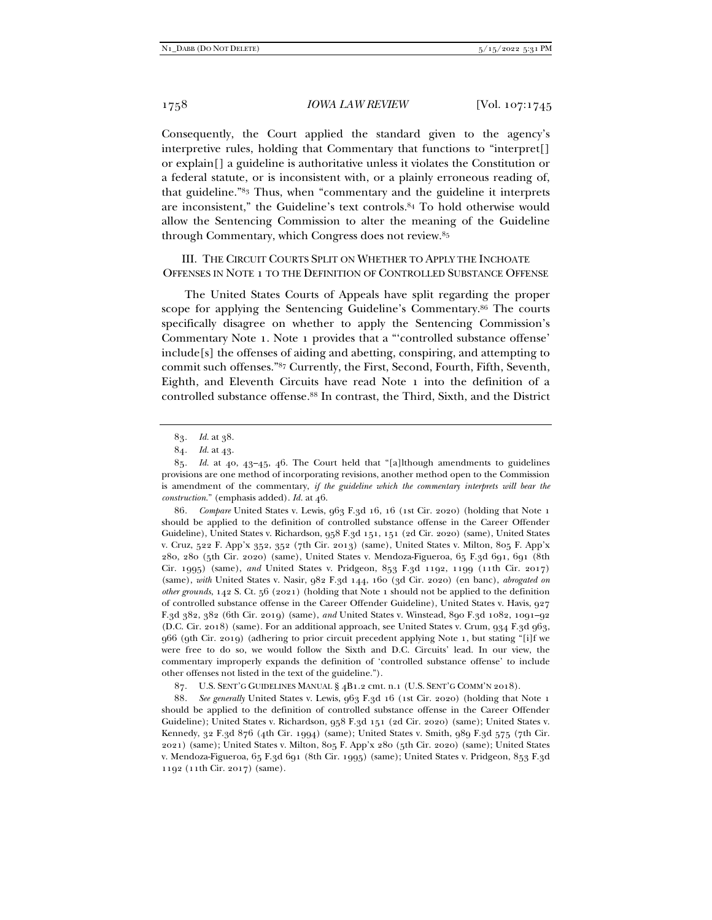Consequently, the Court applied the standard given to the agency's interpretive rules, holding that Commentary that functions to "interpret[] or explain[] a guideline is authoritative unless it violates the Constitution or a federal statute, or is inconsistent with, or a plainly erroneous reading of, that guideline."83 Thus, when "commentary and the guideline it interprets are inconsistent," the Guideline's text controls.84 To hold otherwise would allow the Sentencing Commission to alter the meaning of the Guideline through Commentary, which Congress does not review.85

III. THE CIRCUIT COURTS SPLIT ON WHETHER TO APPLY THE INCHOATE OFFENSES IN NOTE 1 TO THE DEFINITION OF CONTROLLED SUBSTANCE OFFENSE

The United States Courts of Appeals have split regarding the proper scope for applying the Sentencing Guideline's Commentary.86 The courts specifically disagree on whether to apply the Sentencing Commission's Commentary Note 1. Note 1 provides that a "'controlled substance offense' include[s] the offenses of aiding and abetting, conspiring, and attempting to commit such offenses."87 Currently, the First, Second, Fourth, Fifth, Seventh, Eighth, and Eleventh Circuits have read Note 1 into the definition of a controlled substance offense.88 In contrast, the Third, Sixth, and the District

86*. Compare* United States v. Lewis, 963 F.3d 16, 16 (1st Cir. 2020) (holding that Note 1 should be applied to the definition of controlled substance offense in the Career Offender Guideline), United States v. Richardson, 958 F.3d 151, 151 (2d Cir. 2020) (same), United States v. Cruz, 522 F. App'x 352, 352 (7th Cir. 2013) (same), United States v. Milton, 805 F. App'x 280, 280 (5th Cir. 2020) (same), United States v. Mendoza-Figueroa, 65 F.3d 691, 691 (8th Cir. 1995) (same), *and* United States v. Pridgeon, 853 F.3d 1192, 1199 (11th Cir. 2017) (same), *with* United States v. Nasir, 982 F.3d 144, 160 (3d Cir. 2020) (en banc), *abrogated on other grounds*, 142 S. Ct. 56 (2021) (holding that Note 1 should not be applied to the definition of controlled substance offense in the Career Offender Guideline), United States v. Havis, 927 F.3d 382, 382 (6th Cir. 2019) (same), *and* United States v. Winstead, 890 F.3d 1082, 1091–92 (D.C. Cir. 2018) (same). For an additional approach, see United States v. Crum, 934 F.3d 963, 966 (9th Cir. 2019) (adhering to prior circuit precedent applying Note 1, but stating "[i]f we were free to do so, we would follow the Sixth and D.C. Circuits' lead. In our view, the commentary improperly expands the definition of 'controlled substance offense' to include other offenses not listed in the text of the guideline.").

87. U.S. SENT'G GUIDELINES MANUAL § 4B1.2 cmt. n.1 (U.S. SENT'G COMM'N 2018).

88*. See generally* United States v. Lewis, 963 F.3d 16 (1st Cir. 2020) (holding that Note 1 should be applied to the definition of controlled substance offense in the Career Offender Guideline); United States v. Richardson, 958 F.3d 151 (2d Cir. 2020) (same); United States v. Kennedy, 32 F.3d 876 (4th Cir. 1994) (same); United States v. Smith, 989 F.3d 575 (7th Cir. 2021) (same); United States v. Milton, 805 F. App'x 280 (5th Cir. 2020) (same); United States v. Mendoza-Figueroa, 65 F.3d 691 (8th Cir. 1995) (same); United States v. Pridgeon, 853 F.3d 1192 (11th Cir. 2017) (same).

<sup>83</sup>*. Id.* at 38.

<sup>84</sup>*. Id.* at 43.

<sup>85</sup>*. Id.* at 40, 43–45, 46. The Court held that "[a]lthough amendments to guidelines provisions are one method of incorporating revisions, another method open to the Commission is amendment of the commentary, *if the guideline which the commentary interprets will bear the construction*." (emphasis added). *Id.* at 46.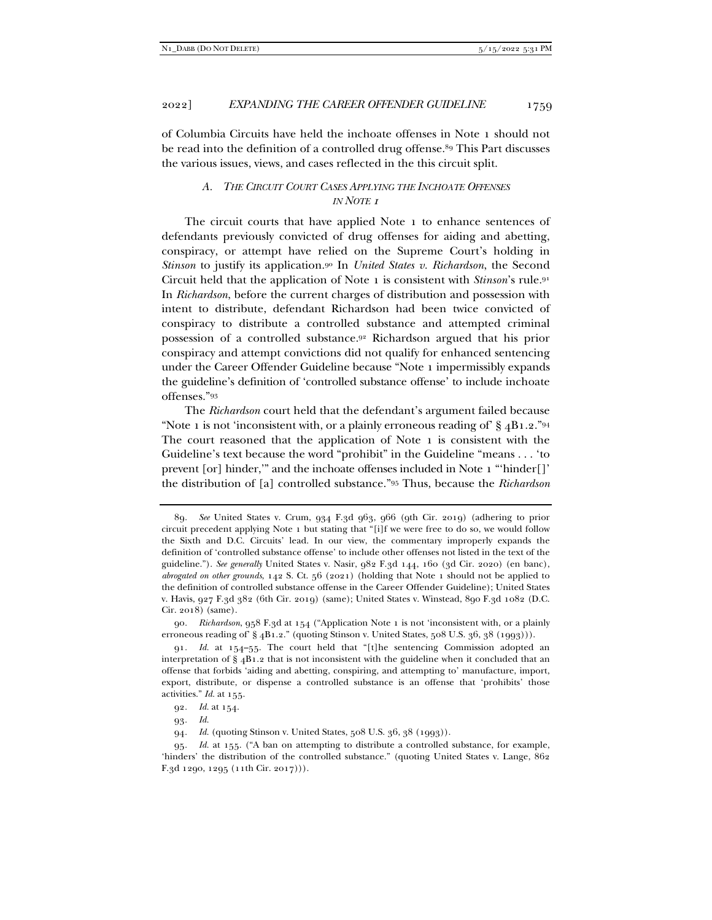of Columbia Circuits have held the inchoate offenses in Note 1 should not be read into the definition of a controlled drug offense.<sup>89</sup> This Part discusses the various issues, views, and cases reflected in the this circuit split.

## *A. THE CIRCUIT COURT CASES APPLYING THE INCHOATE OFFENSES IN NOTE 1*

The circuit courts that have applied Note 1 to enhance sentences of defendants previously convicted of drug offenses for aiding and abetting, conspiracy, or attempt have relied on the Supreme Court's holding in *Stinson* to justify its application.90 In *United States v. Richardson*, the Second Circuit held that the application of Note 1 is consistent with *Stinson*'s rule.91 In *Richardson*, before the current charges of distribution and possession with intent to distribute, defendant Richardson had been twice convicted of conspiracy to distribute a controlled substance and attempted criminal possession of a controlled substance.92 Richardson argued that his prior conspiracy and attempt convictions did not qualify for enhanced sentencing under the Career Offender Guideline because "Note 1 impermissibly expands the guideline's definition of 'controlled substance offense' to include inchoate offenses."93

The *Richardson* court held that the defendant's argument failed because "Note 1 is not 'inconsistent with, or a plainly erroneous reading of'  $\S$  4B1.2."<sup>94</sup> The court reasoned that the application of Note 1 is consistent with the Guideline's text because the word "prohibit" in the Guideline "means . . . 'to prevent [or] hinder,'" and the inchoate offenses included in Note 1 "'hinder[]' the distribution of [a] controlled substance."95 Thus, because the *Richardson*

93*. Id.*

<sup>89</sup>*. See* United States v. Crum, 934 F.3d 963, 966 (9th Cir. 2019) (adhering to prior circuit precedent applying Note 1 but stating that "[i]f we were free to do so, we would follow the Sixth and D.C. Circuits' lead. In our view, the commentary improperly expands the definition of 'controlled substance offense' to include other offenses not listed in the text of the guideline."). *See generally* United States v. Nasir, 982 F.3d 144, 160 (3d Cir. 2020) (en banc), *abrogated on other grounds*, 142 S. Ct. 56 (2021) (holding that Note 1 should not be applied to the definition of controlled substance offense in the Career Offender Guideline); United States v. Havis, 927 F.3d 382 (6th Cir. 2019) (same); United States v. Winstead, 890 F.3d 1082 (D.C. Cir. 2018) (same).

<sup>90</sup>*. Richardson*, 958 F.3d at 154 ("Application Note 1 is not 'inconsistent with, or a plainly erroneous reading of  $\S$  4B1.2." (quoting Stinson v. United States, 508 U.S. 36, 38 (1993))).

<sup>91</sup>*. Id.* at 154–55. The court held that "[t]he sentencing Commission adopted an interpretation of  $\S$  4B1.2 that is not inconsistent with the guideline when it concluded that an offense that forbids 'aiding and abetting, conspiring, and attempting to' manufacture, import, export, distribute, or dispense a controlled substance is an offense that 'prohibits' those activities." *Id.* at 155.

<sup>92</sup>*. Id.* at 154.

<sup>94</sup>*. Id.* (quoting Stinson v. United States, 508 U.S. 36, 38 (1993)).

<sup>95</sup>*. Id.* at 155. ("A ban on attempting to distribute a controlled substance, for example, 'hinders' the distribution of the controlled substance." (quoting United States v. Lange, 862 F.3d 1290, 1295 (11th Cir. 2017))).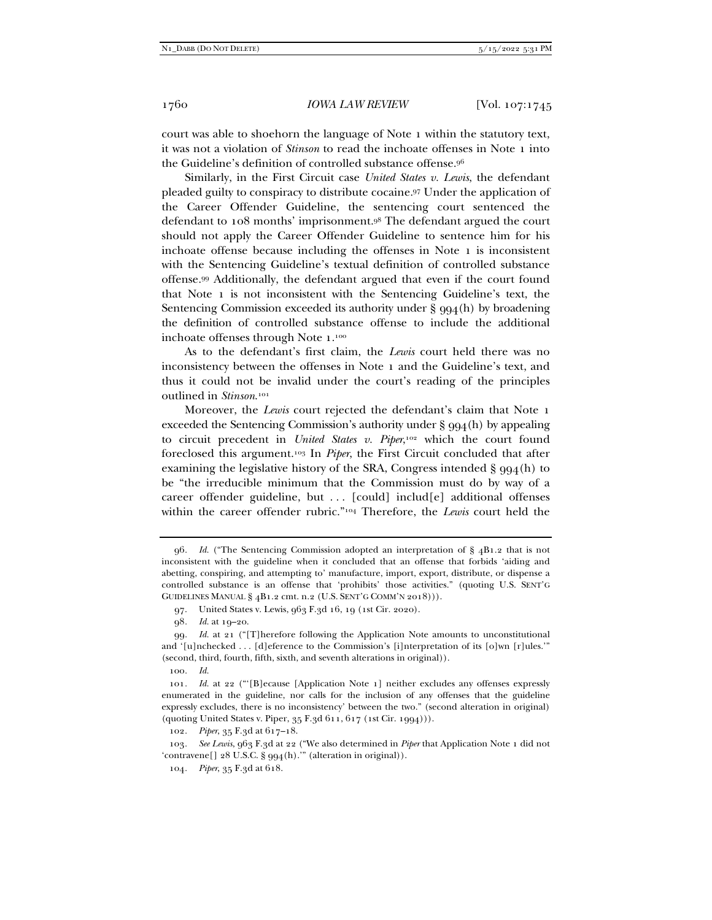court was able to shoehorn the language of Note 1 within the statutory text, it was not a violation of *Stinson* to read the inchoate offenses in Note 1 into the Guideline's definition of controlled substance offense.96

Similarly, in the First Circuit case *United States v. Lewis*, the defendant pleaded guilty to conspiracy to distribute cocaine.97 Under the application of the Career Offender Guideline, the sentencing court sentenced the defendant to 108 months' imprisonment.98 The defendant argued the court should not apply the Career Offender Guideline to sentence him for his inchoate offense because including the offenses in Note 1 is inconsistent with the Sentencing Guideline's textual definition of controlled substance offense.99 Additionally, the defendant argued that even if the court found that Note 1 is not inconsistent with the Sentencing Guideline's text, the Sentencing Commission exceeded its authority under  $\S qq4(h)$  by broadening the definition of controlled substance offense to include the additional inchoate offenses through Note 1.100

As to the defendant's first claim, the *Lewis* court held there was no inconsistency between the offenses in Note 1 and the Guideline's text, and thus it could not be invalid under the court's reading of the principles outlined in *Stinson*.101

Moreover, the *Lewis* court rejected the defendant's claim that Note 1 exceeded the Sentencing Commission's authority under  $\S qq_4(h)$  by appealing to circuit precedent in *United States v. Piper*,<sup>102</sup> which the court found foreclosed this argument.103 In *Piper*, the First Circuit concluded that after examining the legislative history of the SRA, Congress intended  $\S qq4(h)$  to be "the irreducible minimum that the Commission must do by way of a career offender guideline, but  $\dots$  [could] includ[e] additional offenses within the career offender rubric."104 Therefore, the *Lewis* court held the

<sup>96</sup>*. Id.* ("The Sentencing Commission adopted an interpretation of § 4B1.2 that is not inconsistent with the guideline when it concluded that an offense that forbids 'aiding and abetting, conspiring, and attempting to' manufacture, import, export, distribute, or dispense a controlled substance is an offense that 'prohibits' those activities." (quoting U.S. SENT'G GUIDELINES MANUAL § 4B1.2 cmt. n.2 (U.S. SENT'G COMM'N 2018))).

 <sup>97.</sup> United States v. Lewis, 963 F.3d 16, 19 (1st Cir. 2020).

<sup>98</sup>*. Id.* at 19–20.

<sup>99</sup>*. Id.* at 21 ("[T]herefore following the Application Note amounts to unconstitutional and '[u]nchecked . . . [d]eference to the Commission's [i]nterpretation of its [o]wn [r]ules.'" (second, third, fourth, fifth, sixth, and seventh alterations in original)).

<sup>100</sup>*. Id.*

<sup>101</sup>*. Id.* at 22 ("'[B]ecause [Application Note 1] neither excludes any offenses expressly enumerated in the guideline, nor calls for the inclusion of any offenses that the guideline expressly excludes, there is no inconsistency' between the two." (second alteration in original) (quoting United States v. Piper, 35 F.3d 611, 617 (1st Cir. 1994))).

<sup>102</sup>*. Piper*, 35 F.3d at 617–18.

<sup>103</sup>*. See Lewis*, 963 F.3d at 22 ("We also determined in *Piper* that Application Note 1 did not 'contravene[]  $28$  U.S.C. §  $994(h)$ .'" (alteration in original)).

<sup>104</sup>*. Piper*, 35 F.3d at 618.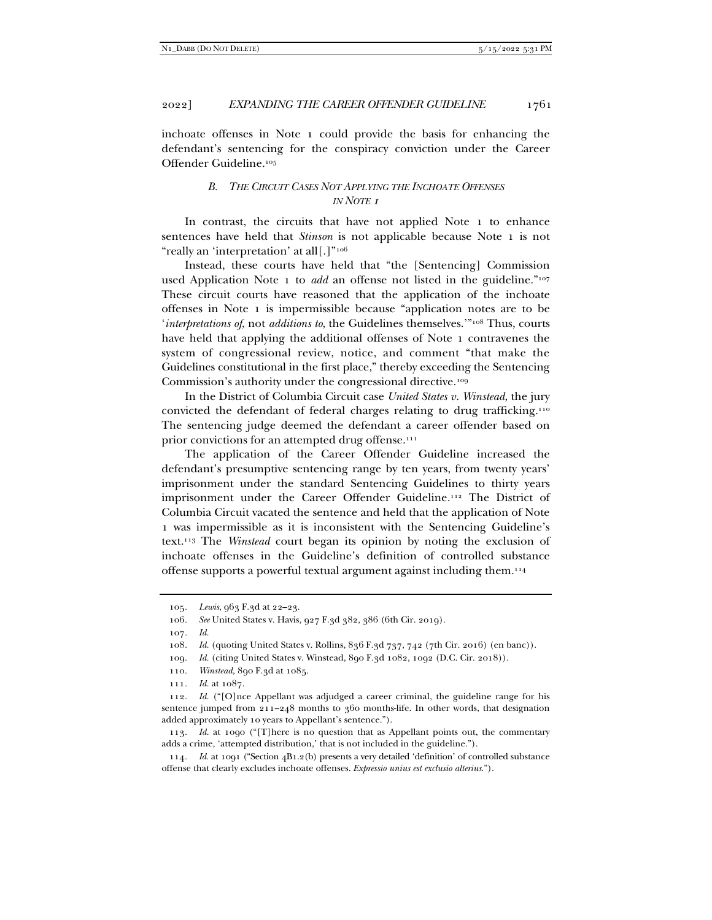inchoate offenses in Note 1 could provide the basis for enhancing the defendant's sentencing for the conspiracy conviction under the Career Offender Guideline.105

## *B. THE CIRCUIT CASES NOT APPLYING THE INCHOATE OFFENSES IN NOTE 1*

In contrast, the circuits that have not applied Note 1 to enhance sentences have held that *Stinson* is not applicable because Note 1 is not "really an 'interpretation' at all[.]"106

Instead, these courts have held that "the [Sentencing] Commission used Application Note 1 to *add* an offense not listed in the guideline."<sup>107</sup> These circuit courts have reasoned that the application of the inchoate offenses in Note 1 is impermissible because "application notes are to be '*interpretations of*, not *additions to*, the Guidelines themselves.'"108 Thus, courts have held that applying the additional offenses of Note 1 contravenes the system of congressional review, notice, and comment "that make the Guidelines constitutional in the first place," thereby exceeding the Sentencing Commission's authority under the congressional directive.109

In the District of Columbia Circuit case *United States v. Winstead*, the jury convicted the defendant of federal charges relating to drug trafficking.110 The sentencing judge deemed the defendant a career offender based on prior convictions for an attempted drug offense.<sup>111</sup>

The application of the Career Offender Guideline increased the defendant's presumptive sentencing range by ten years, from twenty years' imprisonment under the standard Sentencing Guidelines to thirty years imprisonment under the Career Offender Guideline.112 The District of Columbia Circuit vacated the sentence and held that the application of Note 1 was impermissible as it is inconsistent with the Sentencing Guideline's text.113 The *Winstead* court began its opinion by noting the exclusion of inchoate offenses in the Guideline's definition of controlled substance offense supports a powerful textual argument against including them.114

113*. Id.* at 1090 ("[T]here is no question that as Appellant points out, the commentary adds a crime, 'attempted distribution,' that is not included in the guideline.").

<sup>105</sup>*. Lewis*, 963 F.3d at 22–23.

<sup>106</sup>*. See* United States v. Havis, 927 F.3d 382, 386 (6th Cir. 2019).

<sup>107</sup>*. Id.*

<sup>108</sup>*. Id.* (quoting United States v. Rollins, 836 F.3d 737, 742 (7th Cir. 2016) (en banc)).

<sup>109</sup>*. Id.* (citing United States v. Winstead, 890 F.3d 1082, 1092 (D.C. Cir. 2018)).

<sup>110</sup>*. Winstead,* 890 F.3d at 1085.

<sup>111</sup>*. Id.* at 1087.

<sup>112</sup>*. Id.* ("[O]nce Appellant was adjudged a career criminal, the guideline range for his sentence jumped from  $211-248$  months to 360 months-life. In other words, that designation added approximately 10 years to Appellant's sentence.").

<sup>114</sup>*. Id.* at 1091 ("Section 4B1.2(b) presents a very detailed 'definition' of controlled substance offense that clearly excludes inchoate offenses. *Expressio unius est exclusio alterius*.").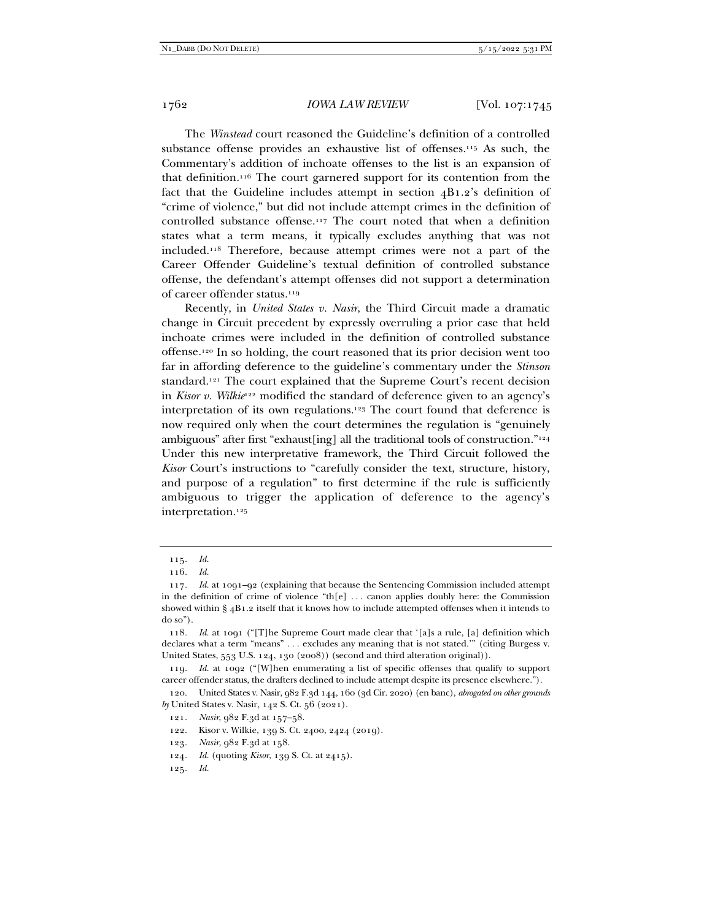The *Winstead* court reasoned the Guideline's definition of a controlled substance offense provides an exhaustive list of offenses.115 As such, the Commentary's addition of inchoate offenses to the list is an expansion of that definition.<sup>116</sup> The court garnered support for its contention from the fact that the Guideline includes attempt in section 4B1.2's definition of "crime of violence," but did not include attempt crimes in the definition of controlled substance offense.117 The court noted that when a definition states what a term means, it typically excludes anything that was not included.118 Therefore, because attempt crimes were not a part of the Career Offender Guideline's textual definition of controlled substance offense, the defendant's attempt offenses did not support a determination of career offender status.119

Recently, in *United States v. Nasir*, the Third Circuit made a dramatic change in Circuit precedent by expressly overruling a prior case that held inchoate crimes were included in the definition of controlled substance offense.120 In so holding, the court reasoned that its prior decision went too far in affording deference to the guideline's commentary under the *Stinson* standard.121 The court explained that the Supreme Court's recent decision in *Kisor v. Wilkie*122 modified the standard of deference given to an agency's interpretation of its own regulations.123 The court found that deference is now required only when the court determines the regulation is "genuinely ambiguous" after first "exhaust[ing] all the traditional tools of construction."124 Under this new interpretative framework, the Third Circuit followed the *Kisor* Court's instructions to "carefully consider the text, structure, history, and purpose of a regulation" to first determine if the rule is sufficiently ambiguous to trigger the application of deference to the agency's interpretation.125

<sup>115</sup>*. Id.*

<sup>116</sup>*. Id.*

<sup>117</sup>*. Id.* at 1091–92 (explaining that because the Sentencing Commission included attempt in the definition of crime of violence "th $[e]$ ... canon applies doubly here: the Commission showed within  $\S$  4B1.2 itself that it knows how to include attempted offenses when it intends to do so").

<sup>118</sup>*. Id.* at 1091 ("[T]he Supreme Court made clear that '[a]s a rule, [a] definition which declares what a term "means" . . . excludes any meaning that is not stated.'" (citing Burgess v. United States, 553 U.S. 124, 130 (2008)) (second and third alteration original)).

<sup>119</sup>*. Id.* at 1092 ("[W]hen enumerating a list of specific offenses that qualify to support career offender status, the drafters declined to include attempt despite its presence elsewhere.").

 <sup>120.</sup> United States v. Nasir, 982 F.3d 144, 160 (3d Cir. 2020) (en banc), *abrogated on other grounds by* United States v. Nasir, 142 S. Ct. 56 (2021).

<sup>121</sup>*. Nasir*, 982 F.3d at 157–58.

 <sup>122.</sup> Kisor v. Wilkie, 139 S. Ct. 2400, 2424 (2019).

<sup>123</sup>*. Nasir,* 982 F.3d at 158.

<sup>124</sup>*. Id.* (quoting *Kisor*, 139 S. Ct. at 2415).

<sup>125</sup>*. Id.*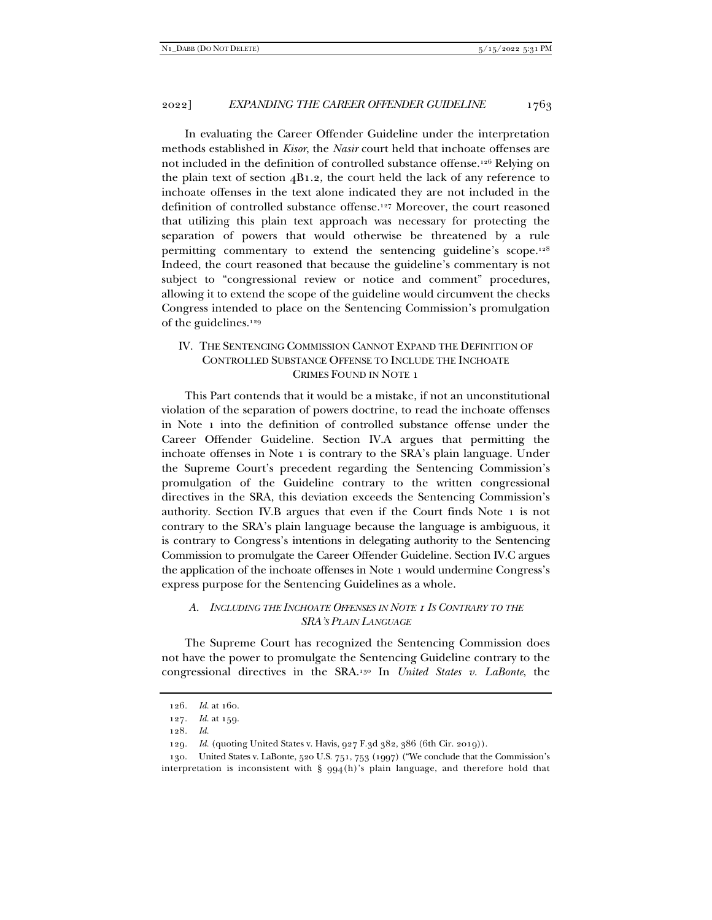In evaluating the Career Offender Guideline under the interpretation methods established in *Kisor*, the *Nasir* court held that inchoate offenses are not included in the definition of controlled substance offense.126 Relying on the plain text of section  $4B1.2$ , the court held the lack of any reference to inchoate offenses in the text alone indicated they are not included in the definition of controlled substance offense.<sup>127</sup> Moreover, the court reasoned that utilizing this plain text approach was necessary for protecting the separation of powers that would otherwise be threatened by a rule permitting commentary to extend the sentencing guideline's scope.128 Indeed, the court reasoned that because the guideline's commentary is not subject to "congressional review or notice and comment" procedures, allowing it to extend the scope of the guideline would circumvent the checks Congress intended to place on the Sentencing Commission's promulgation of the guidelines.129

# IV. THE SENTENCING COMMISSION CANNOT EXPAND THE DEFINITION OF CONTROLLED SUBSTANCE OFFENSE TO INCLUDE THE INCHOATE CRIMES FOUND IN NOTE 1

This Part contends that it would be a mistake, if not an unconstitutional violation of the separation of powers doctrine, to read the inchoate offenses in Note 1 into the definition of controlled substance offense under the Career Offender Guideline. Section IV.A argues that permitting the inchoate offenses in Note 1 is contrary to the SRA's plain language. Under the Supreme Court's precedent regarding the Sentencing Commission's promulgation of the Guideline contrary to the written congressional directives in the SRA, this deviation exceeds the Sentencing Commission's authority. Section IV.B argues that even if the Court finds Note 1 is not contrary to the SRA's plain language because the language is ambiguous, it is contrary to Congress's intentions in delegating authority to the Sentencing Commission to promulgate the Career Offender Guideline. Section IV.C argues the application of the inchoate offenses in Note 1 would undermine Congress's express purpose for the Sentencing Guidelines as a whole.

# *A. INCLUDING THE INCHOATE OFFENSES IN NOTE 1 IS CONTRARY TO THE SRA'S PLAIN LANGUAGE*

The Supreme Court has recognized the Sentencing Commission does not have the power to promulgate the Sentencing Guideline contrary to the congressional directives in the SRA.130 In *United States v. LaBonte*, the

128*. Id.*

<sup>126</sup>*. Id.* at 160.

<sup>127</sup>*. Id.* at 159.

<sup>129</sup>*. Id.* (quoting United States v. Havis, 927 F.3d 382, 386 (6th Cir. 2019)).

 <sup>130.</sup> United States v. LaBonte, 520 U.S. 751, 753 (1997) ("We conclude that the Commission's interpretation is inconsistent with  $\S$  994(h)'s plain language, and therefore hold that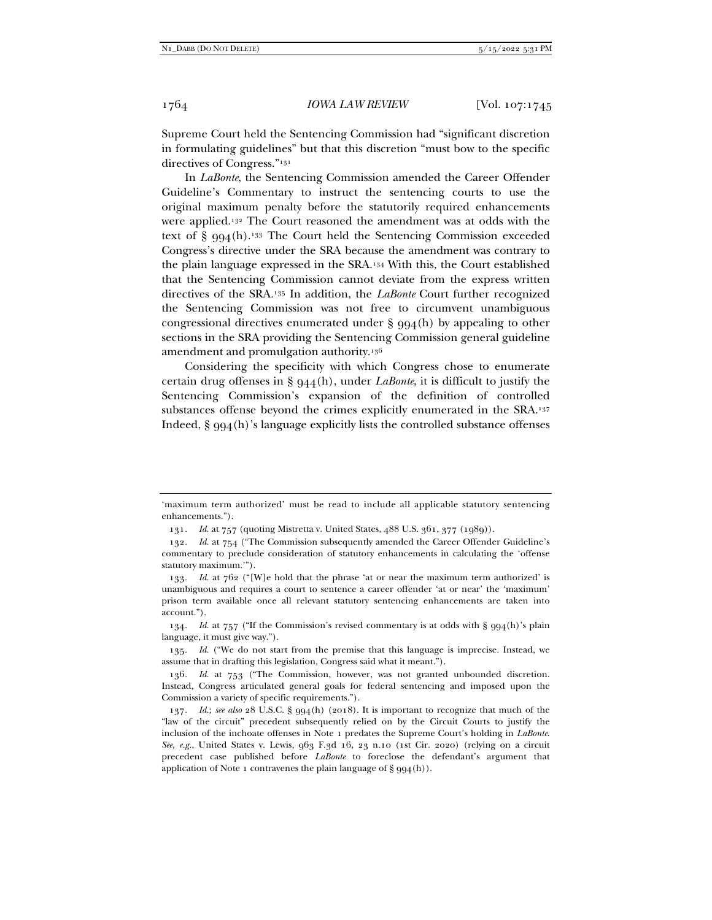Supreme Court held the Sentencing Commission had "significant discretion in formulating guidelines" but that this discretion "must bow to the specific directives of Congress."131

In *LaBonte*, the Sentencing Commission amended the Career Offender Guideline's Commentary to instruct the sentencing courts to use the original maximum penalty before the statutorily required enhancements were applied.132 The Court reasoned the amendment was at odds with the text of  $\S$   $994(h)$ .<sup>133</sup> The Court held the Sentencing Commission exceeded Congress's directive under the SRA because the amendment was contrary to the plain language expressed in the SRA.134 With this, the Court established that the Sentencing Commission cannot deviate from the express written directives of the SRA.135 In addition, the *LaBonte* Court further recognized the Sentencing Commission was not free to circumvent unambiguous congressional directives enumerated under  $\S$   $994(h)$  by appealing to other sections in the SRA providing the Sentencing Commission general guideline amendment and promulgation authority.136

Considering the specificity with which Congress chose to enumerate certain drug offenses in § 944(h), under *LaBonte*, it is difficult to justify the Sentencing Commission's expansion of the definition of controlled substances offense beyond the crimes explicitly enumerated in the SRA.137 Indeed,  $\S qq_4(h)$ 's language explicitly lists the controlled substance offenses

<sup>&#</sup>x27;maximum term authorized' must be read to include all applicable statutory sentencing enhancements.").

<sup>131</sup>*. Id.* at 757 (quoting Mistretta v. United States, 488 U.S. 361, 377 (1989)).

<sup>132</sup>*. Id.* at 754 ("The Commission subsequently amended the Career Offender Guideline's commentary to preclude consideration of statutory enhancements in calculating the 'offense statutory maximum.'").

<sup>133</sup>*. Id.* at 762 ("[W]e hold that the phrase 'at or near the maximum term authorized' is unambiguous and requires a court to sentence a career offender 'at or near' the 'maximum' prison term available once all relevant statutory sentencing enhancements are taken into account.").

<sup>134</sup>*. Id.* at 757 ("If the Commission's revised commentary is at odds with § 994(h)'s plain language, it must give way.").

<sup>135</sup>*. Id.* ("We do not start from the premise that this language is imprecise. Instead, we assume that in drafting this legislation, Congress said what it meant.").

<sup>136</sup>*. Id.* at 753 ("The Commission, however, was not granted unbounded discretion. Instead, Congress articulated general goals for federal sentencing and imposed upon the Commission a variety of specific requirements.").

<sup>137</sup>*. Id.*; *see also* 28 U.S.C. § 994(h) (2018). It is important to recognize that much of the "law of the circuit" precedent subsequently relied on by the Circuit Courts to justify the inclusion of the inchoate offenses in Note 1 predates the Supreme Court's holding in *LaBonte*. *See, e.g.*, United States v. Lewis, 963 F.3d 16, 23 n.10 (1st Cir. 2020) (relying on a circuit precedent case published before *LaBonte* to foreclose the defendant's argument that application of Note 1 contravenes the plain language of  $\S 994(h)$ .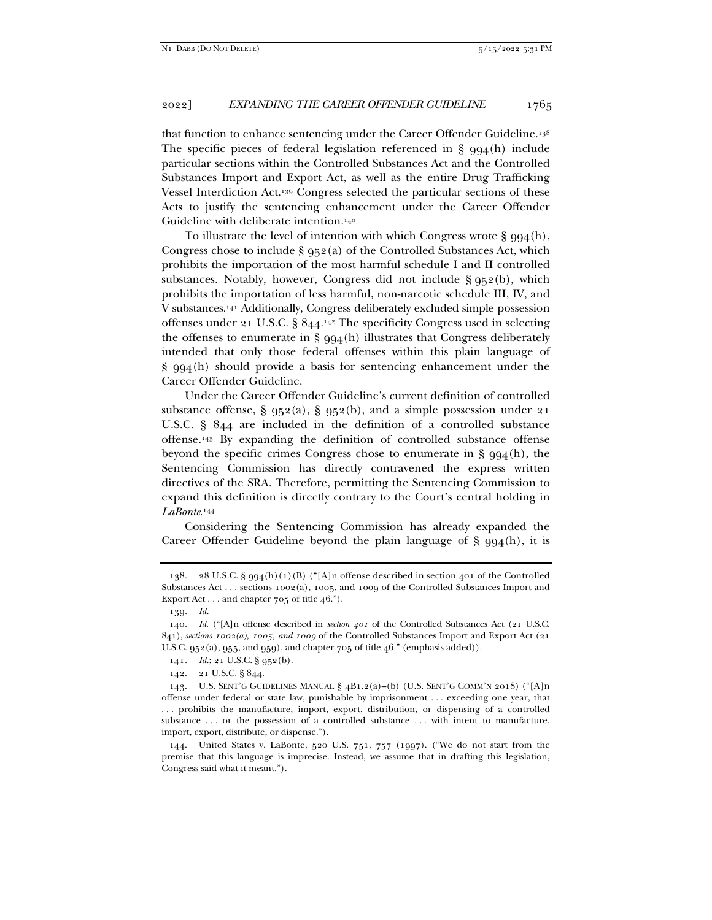that function to enhance sentencing under the Career Offender Guideline.138 The specific pieces of federal legislation referenced in  $\S$   $994(h)$  include particular sections within the Controlled Substances Act and the Controlled Substances Import and Export Act, as well as the entire Drug Trafficking Vessel Interdiction Act.139 Congress selected the particular sections of these Acts to justify the sentencing enhancement under the Career Offender Guideline with deliberate intention.140

To illustrate the level of intention with which Congress wrote  $\S qq4(h)$ , Congress chose to include § 952(a) of the Controlled Substances Act, which prohibits the importation of the most harmful schedule I and II controlled substances. Notably, however, Congress did not include § 952(b), which prohibits the importation of less harmful, non-narcotic schedule III, IV, and V substances.141 Additionally, Congress deliberately excluded simple possession offenses under 21 U.S.C. § 844.142 The specificity Congress used in selecting the offenses to enumerate in §  $q\bar{q}q(h)$  illustrates that Congress deliberately intended that only those federal offenses within this plain language of § 994(h) should provide a basis for sentencing enhancement under the Career Offender Guideline.

Under the Career Offender Guideline's current definition of controlled substance offense, §  $952(a)$ , §  $952(b)$ , and a simple possession under 21 U.S.C. § 844 are included in the definition of a controlled substance offense.143 By expanding the definition of controlled substance offense beyond the specific crimes Congress chose to enumerate in  $\S qq4(h)$ , the Sentencing Commission has directly contravened the express written directives of the SRA. Therefore, permitting the Sentencing Commission to expand this definition is directly contrary to the Court's central holding in *LaBonte*.144

Considering the Sentencing Commission has already expanded the Career Offender Guideline beyond the plain language of  $\S$  994(h), it is

<sup>138. 28</sup> U.S.C. § 994(h)(1)(B) ("[A]n offense described in section 401 of the Controlled Substances Act . . . sections 1002(a), 1005, and 1009 of the Controlled Substances Import and Export Act . . . and chapter  $705$  of title  $46$ .").

<sup>139</sup>*. Id.*

<sup>140</sup>*. Id.* ("[A]n offense described in *section 401* of the Controlled Substances Act (21 U.S.C. 841), *sections 1002(a), 1005, and 1009* of the Controlled Substances Import and Export Act (21 U.S.C.  $952(a)$ ,  $955$ , and  $959$ ), and chapter  $705$  of title  $46$ ." (emphasis added)).

<sup>141</sup>*. Id.*; 21 U.S.C. § 952(b).

 <sup>142. 21</sup> U.S.C. § 844.

 <sup>143.</sup> U.S. SENT'G GUIDELINES MANUAL § 4B1.2(a)–(b) (U.S. SENT'G COMM'N 2018) ("[A]n offense under federal or state law, punishable by imprisonment . . . exceeding one year, that . . . prohibits the manufacture, import, export, distribution, or dispensing of a controlled substance . . . or the possession of a controlled substance . . . with intent to manufacture, import, export, distribute, or dispense.").

 <sup>144.</sup> United States v. LaBonte, 520 U.S. 751, 757 (1997). ("We do not start from the premise that this language is imprecise. Instead, we assume that in drafting this legislation, Congress said what it meant.").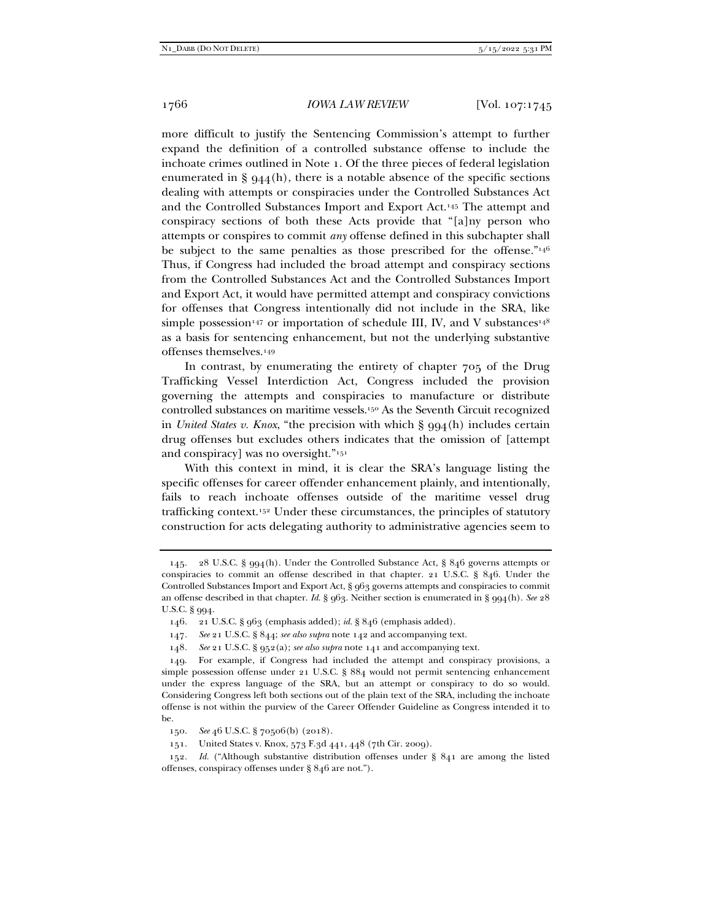more difficult to justify the Sentencing Commission's attempt to further expand the definition of a controlled substance offense to include the inchoate crimes outlined in Note 1. Of the three pieces of federal legislation enumerated in  $\S$   $944(h)$ , there is a notable absence of the specific sections dealing with attempts or conspiracies under the Controlled Substances Act and the Controlled Substances Import and Export Act.145 The attempt and conspiracy sections of both these Acts provide that "[a]ny person who attempts or conspires to commit *any* offense defined in this subchapter shall be subject to the same penalties as those prescribed for the offense."<sup>146</sup> Thus, if Congress had included the broad attempt and conspiracy sections from the Controlled Substances Act and the Controlled Substances Import and Export Act, it would have permitted attempt and conspiracy convictions for offenses that Congress intentionally did not include in the SRA, like simple possession<sup>147</sup> or importation of schedule III, IV, and V substances<sup>148</sup> as a basis for sentencing enhancement, but not the underlying substantive offenses themselves.149

In contrast, by enumerating the entirety of chapter 705 of the Drug Trafficking Vessel Interdiction Act, Congress included the provision governing the attempts and conspiracies to manufacture or distribute controlled substances on maritime vessels.150 As the Seventh Circuit recognized in *United States v. Knox*, "the precision with which  $\S qq_4(h)$  includes certain drug offenses but excludes others indicates that the omission of [attempt and conspiracy] was no oversight."151

With this context in mind, it is clear the SRA's language listing the specific offenses for career offender enhancement plainly, and intentionally, fails to reach inchoate offenses outside of the maritime vessel drug trafficking context.152 Under these circumstances, the principles of statutory construction for acts delegating authority to administrative agencies seem to

151. United States v. Knox, 573 F.3d 441, 448 (7th Cir. 2009).

152*. Id.* ("Although substantive distribution offenses under § 841 are among the listed offenses, conspiracy offenses under § 846 are not.").

 <sup>145. 28</sup> U.S.C. § 994(h). Under the Controlled Substance Act, § 846 governs attempts or conspiracies to commit an offense described in that chapter. 21 U.S.C. § 846. Under the Controlled Substances Import and Export Act, § 963 governs attempts and conspiracies to commit an offense described in that chapter. *Id.* § 963. Neither section is enumerated in § 994(h). *See* 28 U.S.C. § 994.

 <sup>146. 21</sup> U.S.C. § 963 (emphasis added); *id.* § 846 (emphasis added).

<sup>147</sup>*. See* 21 U.S.C. § 844; *see also supra* note 142 and accompanying text.

<sup>148</sup>*. See* 21 U.S.C. § 952(a); *see also supra* note 141 and accompanying text.

 <sup>149.</sup> For example, if Congress had included the attempt and conspiracy provisions, a simple possession offense under 21 U.S.C. § 884 would not permit sentencing enhancement under the express language of the SRA, but an attempt or conspiracy to do so would. Considering Congress left both sections out of the plain text of the SRA, including the inchoate offense is not within the purview of the Career Offender Guideline as Congress intended it to be.

<sup>150</sup>*. See* 46 U.S.C. § 70506(b) (2018).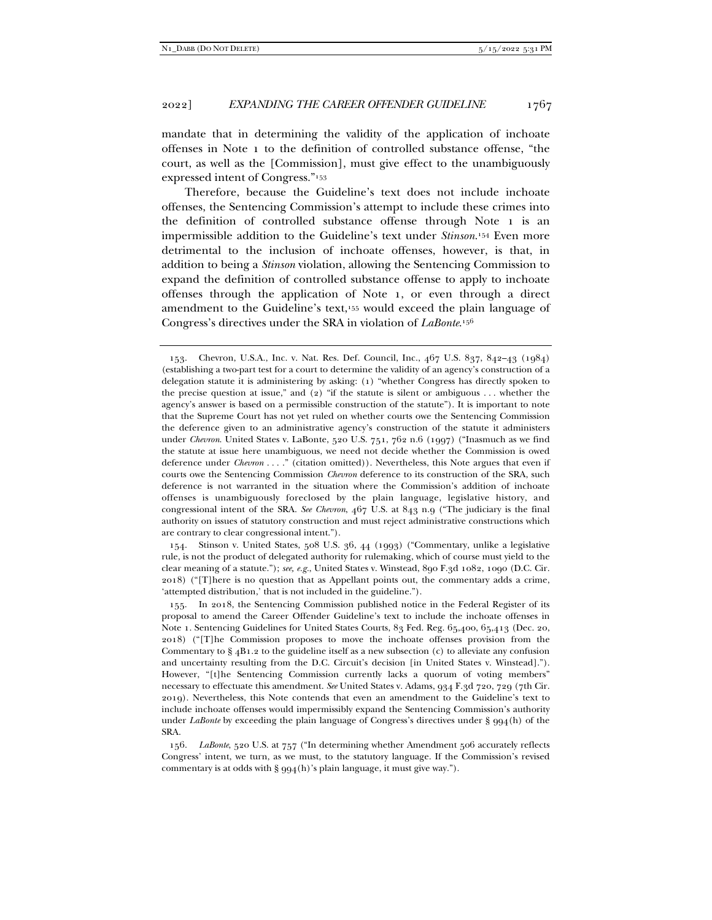mandate that in determining the validity of the application of inchoate offenses in Note 1 to the definition of controlled substance offense, "the court, as well as the [Commission], must give effect to the unambiguously expressed intent of Congress."153

Therefore, because the Guideline's text does not include inchoate offenses, the Sentencing Commission's attempt to include these crimes into the definition of controlled substance offense through Note 1 is an impermissible addition to the Guideline's text under *Stinson*. 154 Even more detrimental to the inclusion of inchoate offenses, however, is that, in addition to being a *Stinson* violation, allowing the Sentencing Commission to expand the definition of controlled substance offense to apply to inchoate offenses through the application of Note 1, or even through a direct amendment to the Guideline's text,<sup>155</sup> would exceed the plain language of Congress's directives under the SRA in violation of *LaBonte*.156

 154. Stinson v. United States, 508 U.S. 36, 44 (1993) ("Commentary, unlike a legislative rule, is not the product of delegated authority for rulemaking, which of course must yield to the clear meaning of a statute."); *see, e.g.*, United States v. Winstead, 890 F.3d 1082, 1090 (D.C. Cir. 2018) ("[T]here is no question that as Appellant points out, the commentary adds a crime, 'attempted distribution,' that is not included in the guideline.").

 155. In 2018, the Sentencing Commission published notice in the Federal Register of its proposal to amend the Career Offender Guideline's text to include the inchoate offenses in Note 1. Sentencing Guidelines for United States Courts, 83 Fed. Reg. 65,400, 65,413 (Dec. 20, 2018) ("[T]he Commission proposes to move the inchoate offenses provision from the Commentary to  $\S$  4B1.2 to the guideline itself as a new subsection (c) to alleviate any confusion and uncertainty resulting from the D.C. Circuit's decision [in United States v. Winstead]."). However, "[t]he Sentencing Commission currently lacks a quorum of voting members" necessary to effectuate this amendment. *See* United States v. Adams, 934 F.3d 720, 729 (7th Cir. 2019). Nevertheless, this Note contends that even an amendment to the Guideline's text to include inchoate offenses would impermissibly expand the Sentencing Commission's authority under *LaBonte* by exceeding the plain language of Congress's directives under § 994(h) of the SRA.

 156. *LaBonte*, 520 U.S. at 757 ("In determining whether Amendment 506 accurately reflects Congress' intent, we turn, as we must, to the statutory language. If the Commission's revised commentary is at odds with § 994(h)'s plain language, it must give way.").

 <sup>153.</sup> Chevron, U.S.A., Inc. v. Nat. Res. Def. Council, Inc., 467 U.S. 837, 842–43 (1984) (establishing a two-part test for a court to determine the validity of an agency's construction of a delegation statute it is administering by asking: (1) "whether Congress has directly spoken to the precise question at issue," and  $(2)$  "if the statute is silent or ambiguous ... whether the agency's answer is based on a permissible construction of the statute"). It is important to note that the Supreme Court has not yet ruled on whether courts owe the Sentencing Commission the deference given to an administrative agency's construction of the statute it administers under *Chevron*. United States v. LaBonte, 520 U.S. 751, 762 n.6 (1997) ("Inasmuch as we find the statute at issue here unambiguous, we need not decide whether the Commission is owed deference under *Chevron* . . . ." (citation omitted)). Nevertheless, this Note argues that even if courts owe the Sentencing Commission *Chevron* deference to its construction of the SRA, such deference is not warranted in the situation where the Commission's addition of inchoate offenses is unambiguously foreclosed by the plain language, legislative history, and congressional intent of the SRA. *See Chevron*, 467 U.S. at 843 n.9 ("The judiciary is the final authority on issues of statutory construction and must reject administrative constructions which are contrary to clear congressional intent.").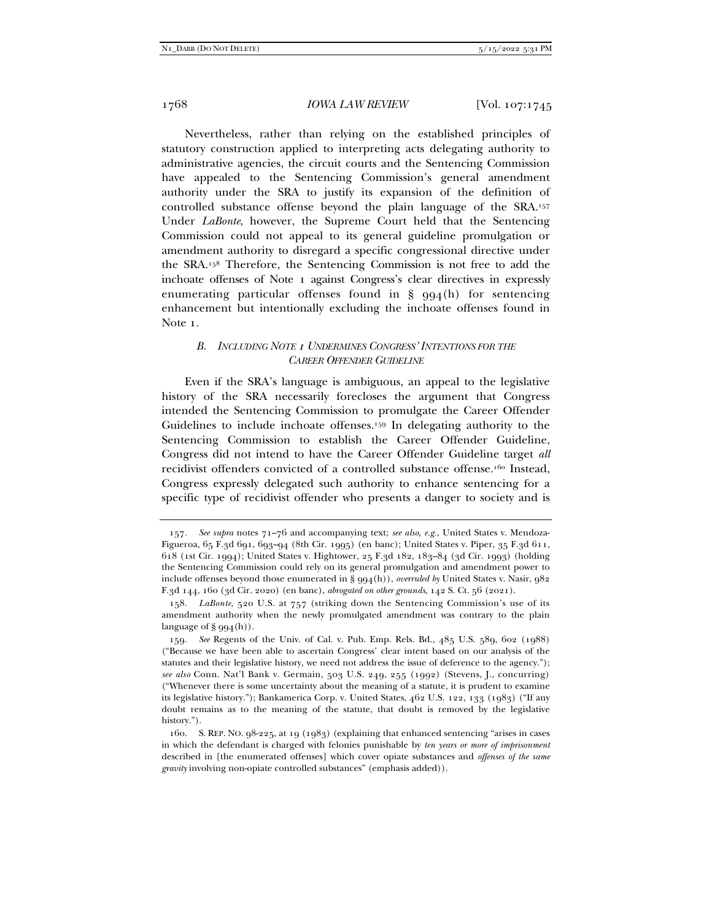Nevertheless, rather than relying on the established principles of statutory construction applied to interpreting acts delegating authority to administrative agencies, the circuit courts and the Sentencing Commission have appealed to the Sentencing Commission's general amendment authority under the SRA to justify its expansion of the definition of controlled substance offense beyond the plain language of the SRA.157 Under *LaBonte*, however, the Supreme Court held that the Sentencing Commission could not appeal to its general guideline promulgation or amendment authority to disregard a specific congressional directive under the SRA.158 Therefore, the Sentencing Commission is not free to add the inchoate offenses of Note 1 against Congress's clear directives in expressly enumerating particular offenses found in § 994(h) for sentencing enhancement but intentionally excluding the inchoate offenses found in Note 1.

## *B. INCLUDING NOTE 1 UNDERMINES CONGRESS' INTENTIONS FOR THE CAREER OFFENDER GUIDELINE*

Even if the SRA's language is ambiguous, an appeal to the legislative history of the SRA necessarily forecloses the argument that Congress intended the Sentencing Commission to promulgate the Career Offender Guidelines to include inchoate offenses.159 In delegating authority to the Sentencing Commission to establish the Career Offender Guideline, Congress did not intend to have the Career Offender Guideline target *all* recidivist offenders convicted of a controlled substance offense.160 Instead, Congress expressly delegated such authority to enhance sentencing for a specific type of recidivist offender who presents a danger to society and is

<sup>157</sup>*. See supra* notes 71–76 and accompanying text; *see also, e.g.*, United States v. Mendoza-Figueroa, 65 F.3d 691, 693–94 (8th Cir. 1995) (en banc); United States v. Piper, 35 F.3d 611, 618 (1st Cir. 1994); United States v. Hightower, 25 F.3d 182, 183–84 (3d Cir. 1993) (holding the Sentencing Commission could rely on its general promulgation and amendment power to include offenses beyond those enumerated in § 994(h)), *overruled by* United States v. Nasir, 982 F.3d 144, 160 (3d Cir. 2020) (en banc), *abrogated on other grounds*, 142 S. Ct. 56 (2021).

 <sup>158.</sup> *LaBonte*, 520 U.S. at 757 (striking down the Sentencing Commission's use of its amendment authority when the newly promulgated amendment was contrary to the plain language of § 994(h)).

<sup>159</sup>*. See* Regents of the Univ. of Cal. v. Pub. Emp. Rels. Bd., 485 U.S. 589, 602 (1988) ("Because we have been able to ascertain Congress' clear intent based on our analysis of the statutes and their legislative history, we need not address the issue of deference to the agency."); *see also* Conn. Nat'l Bank v. Germain, 503 U.S. 249, 255 (1992) (Stevens, J., concurring) ("Whenever there is some uncertainty about the meaning of a statute, it is prudent to examine its legislative history."); Bankamerica Corp. v. United States, 462 U.S. 122, 133 (1983) ("If any doubt remains as to the meaning of the statute, that doubt is removed by the legislative history.").

 <sup>160.</sup> S. REP. NO. 98-225, at 19 (1983) (explaining that enhanced sentencing "arises in cases in which the defendant is charged with felonies punishable by *ten years or more of imprisonment* described in [the enumerated offenses] which cover opiate substances and *offenses of the same gravity* involving non-opiate controlled substances" (emphasis added)).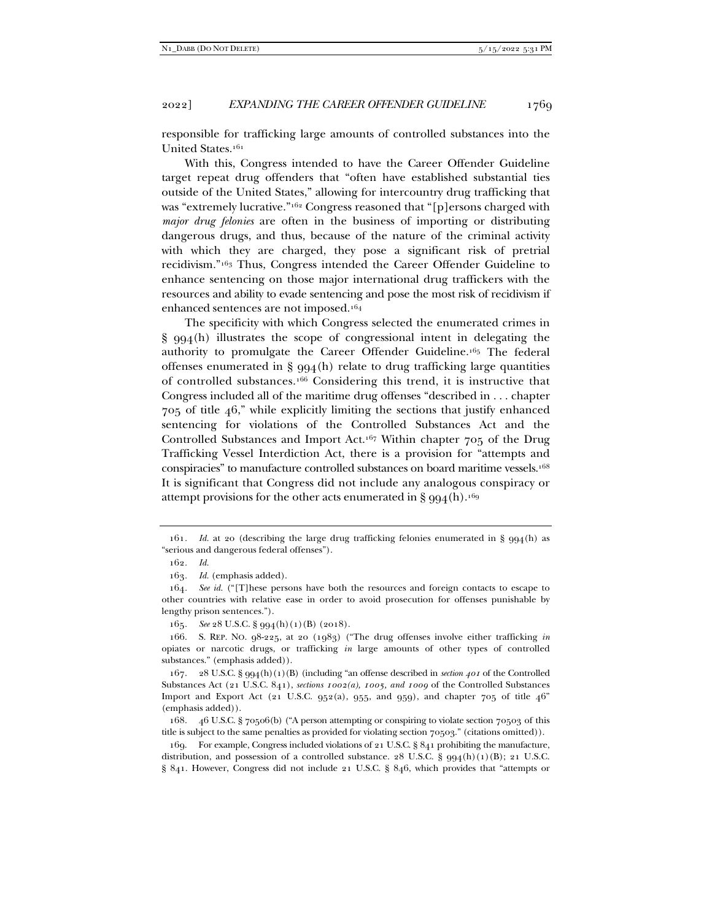responsible for trafficking large amounts of controlled substances into the United States.161

With this, Congress intended to have the Career Offender Guideline target repeat drug offenders that "often have established substantial ties outside of the United States," allowing for intercountry drug trafficking that was "extremely lucrative."162 Congress reasoned that "[p]ersons charged with *major drug felonies* are often in the business of importing or distributing dangerous drugs, and thus, because of the nature of the criminal activity with which they are charged, they pose a significant risk of pretrial recidivism."163 Thus, Congress intended the Career Offender Guideline to enhance sentencing on those major international drug traffickers with the resources and ability to evade sentencing and pose the most risk of recidivism if enhanced sentences are not imposed.164

The specificity with which Congress selected the enumerated crimes in  $\S$  994(h) illustrates the scope of congressional intent in delegating the authority to promulgate the Career Offender Guideline.165 The federal offenses enumerated in § 994(h) relate to drug trafficking large quantities of controlled substances.166 Considering this trend, it is instructive that Congress included all of the maritime drug offenses "described in . . . chapter 705 of title 46," while explicitly limiting the sections that justify enhanced sentencing for violations of the Controlled Substances Act and the Controlled Substances and Import Act.167 Within chapter 705 of the Drug Trafficking Vessel Interdiction Act, there is a provision for "attempts and conspiracies" to manufacture controlled substances on board maritime vessels.168 It is significant that Congress did not include any analogous conspiracy or attempt provisions for the other acts enumerated in §  $994(h).169$ 

<sup>161</sup>*. Id.* at 20 (describing the large drug trafficking felonies enumerated in § 994(h) as "serious and dangerous federal offenses").

<sup>162</sup>*. Id.*

<sup>163</sup>*. Id.* (emphasis added).

<sup>164</sup>*. See id.* ("[T]hese persons have both the resources and foreign contacts to escape to other countries with relative ease in order to avoid prosecution for offenses punishable by lengthy prison sentences.").

<sup>165</sup>*. See* 28 U.S.C. § 994(h)(1)(B) (2018).

 <sup>166.</sup> S. REP. NO. 98-225, at 20 (1983) ("The drug offenses involve either trafficking *in* opiates or narcotic drugs, or trafficking *in* large amounts of other types of controlled substances." (emphasis added)).

 <sup>167. 28</sup> U.S.C. § 994(h)(1)(B) (including "an offense described in *section 401* of the Controlled Substances Act (21 U.S.C. 841), *sections 1002(a), 1005, and 1009* of the Controlled Substances Import and Export Act (21 U.S.C.  $952(a)$ ,  $955$ , and  $959$ ), and chapter  $705$  of title  $46"$ (emphasis added)).

 <sup>168. 46</sup> U.S.C. § 70506(b) ("A person attempting or conspiring to violate section 70503 of this title is subject to the same penalties as provided for violating section 70503." (citations omitted)).

 <sup>169.</sup> For example, Congress included violations of 21 U.S.C. § 841 prohibiting the manufacture, distribution, and possession of a controlled substance. 28 U.S.C. § 994(h)(1)(B); 21 U.S.C. § 841. However, Congress did not include 21 U.S.C. § 846, which provides that "attempts or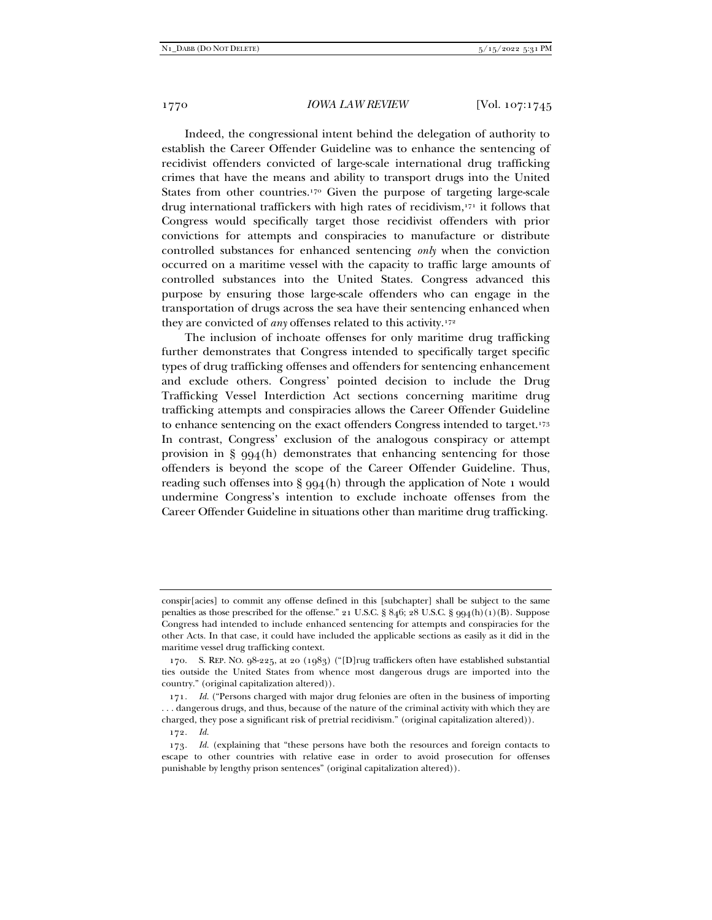Indeed, the congressional intent behind the delegation of authority to establish the Career Offender Guideline was to enhance the sentencing of recidivist offenders convicted of large-scale international drug trafficking crimes that have the means and ability to transport drugs into the United States from other countries.<sup>170</sup> Given the purpose of targeting large-scale drug international traffickers with high rates of recidivism,171 it follows that Congress would specifically target those recidivist offenders with prior convictions for attempts and conspiracies to manufacture or distribute controlled substances for enhanced sentencing *only* when the conviction occurred on a maritime vessel with the capacity to traffic large amounts of controlled substances into the United States. Congress advanced this purpose by ensuring those large-scale offenders who can engage in the transportation of drugs across the sea have their sentencing enhanced when they are convicted of *any* offenses related to this activity.<sup>172</sup>

The inclusion of inchoate offenses for only maritime drug trafficking further demonstrates that Congress intended to specifically target specific types of drug trafficking offenses and offenders for sentencing enhancement and exclude others. Congress' pointed decision to include the Drug Trafficking Vessel Interdiction Act sections concerning maritime drug trafficking attempts and conspiracies allows the Career Offender Guideline to enhance sentencing on the exact offenders Congress intended to target.173 In contrast, Congress' exclusion of the analogous conspiracy or attempt provision in § 994(h) demonstrates that enhancing sentencing for those offenders is beyond the scope of the Career Offender Guideline. Thus, reading such offenses into  $\S qq_4(h)$  through the application of Note 1 would undermine Congress's intention to exclude inchoate offenses from the Career Offender Guideline in situations other than maritime drug trafficking.

conspir[acies] to commit any offense defined in this [subchapter] shall be subject to the same penalties as those prescribed for the offense." 21 U.S.C. § 846; 28 U.S.C. § 994(h)(1)(B). Suppose Congress had intended to include enhanced sentencing for attempts and conspiracies for the other Acts. In that case, it could have included the applicable sections as easily as it did in the maritime vessel drug trafficking context.

 <sup>170.</sup> S. REP. NO. 98-225, at 20 (1983) ("[D]rug traffickers often have established substantial ties outside the United States from whence most dangerous drugs are imported into the country." (original capitalization altered)).

<sup>171</sup>*. Id.* ("Persons charged with major drug felonies are often in the business of importing . . . dangerous drugs, and thus, because of the nature of the criminal activity with which they are charged, they pose a significant risk of pretrial recidivism." (original capitalization altered)).

<sup>172</sup>*. Id.*

<sup>173</sup>*. Id.* (explaining that "these persons have both the resources and foreign contacts to escape to other countries with relative ease in order to avoid prosecution for offenses punishable by lengthy prison sentences" (original capitalization altered)).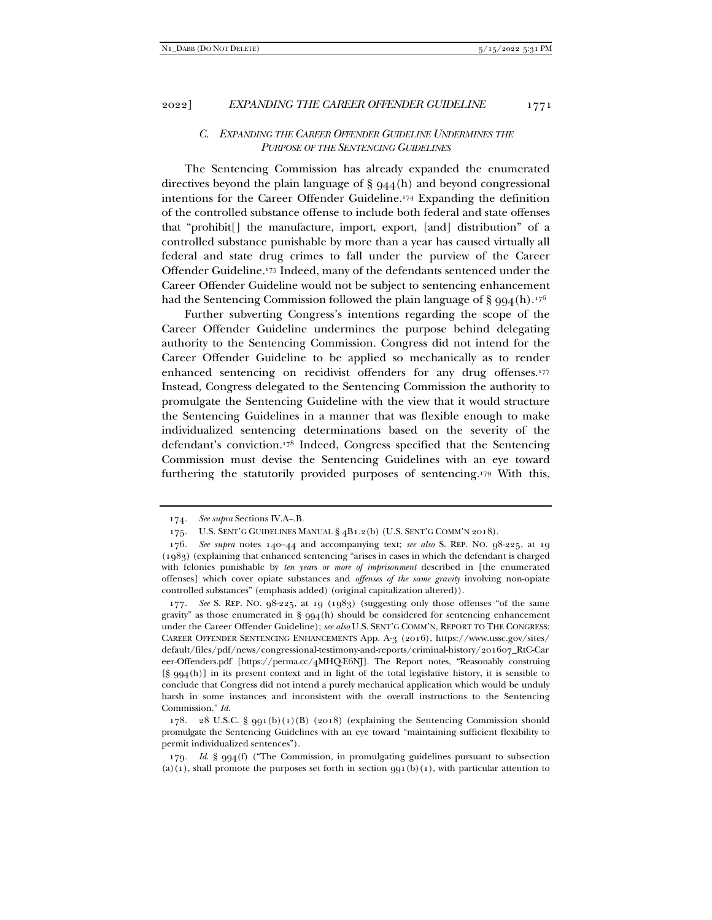# *C. EXPANDING THE CAREER OFFENDER GUIDELINE UNDERMINES THE PURPOSE OF THE SENTENCING GUIDELINES*

The Sentencing Commission has already expanded the enumerated directives beyond the plain language of  $\S$   $944(h)$  and beyond congressional intentions for the Career Offender Guideline.174 Expanding the definition of the controlled substance offense to include both federal and state offenses that "prohibit[] the manufacture, import, export, [and] distribution" of a controlled substance punishable by more than a year has caused virtually all federal and state drug crimes to fall under the purview of the Career Offender Guideline.175 Indeed, many of the defendants sentenced under the Career Offender Guideline would not be subject to sentencing enhancement had the Sentencing Commission followed the plain language of  $\S$  994(h).<sup>176</sup>

Further subverting Congress's intentions regarding the scope of the Career Offender Guideline undermines the purpose behind delegating authority to the Sentencing Commission. Congress did not intend for the Career Offender Guideline to be applied so mechanically as to render enhanced sentencing on recidivist offenders for any drug offenses.177 Instead, Congress delegated to the Sentencing Commission the authority to promulgate the Sentencing Guideline with the view that it would structure the Sentencing Guidelines in a manner that was flexible enough to make individualized sentencing determinations based on the severity of the defendant's conviction.178 Indeed, Congress specified that the Sentencing Commission must devise the Sentencing Guidelines with an eye toward furthering the statutorily provided purposes of sentencing.179 With this,

<sup>174</sup>*. See supra* Sections IV.A–.B.

 <sup>175.</sup> U.S. SENT'G GUIDELINES MANUAL § 4B1.2(b) (U.S. SENT'G COMM'N 2018).

<sup>176</sup>*. See supra* notes 140–44 and accompanying text; *see also* S. REP. NO. 98-225, at 19 (1983) (explaining that enhanced sentencing "arises in cases in which the defendant is charged with felonies punishable by *ten years or more of imprisonment* described in [the enumerated offenses] which cover opiate substances and *offenses of the same gravity* involving non-opiate controlled substances" (emphasis added) (original capitalization altered)).

<sup>177</sup>*. See* S. REP. NO. 98-225, at 19 (1983) (suggesting only those offenses "of the same gravity" as those enumerated in  $\S 994(h)$  should be considered for sentencing enhancement under the Career Offender Guideline); *see also* U.S. SENT'G COMM'N, REPORT TO THE CONGRESS: CAREER OFFENDER SENTENCING ENHANCEMENTS App. A-3 (2016), https://www.ussc.gov/sites/ default/files/pdf/news/congressional-testimony-and-reports/criminal-history/201607\_RtC-Car eer-Offenders.pdf [https://perma.cc/4MHQ-E6NJ]. The Report notes, "Reasonably construing [§ 994(h)] in its present context and in light of the total legislative history, it is sensible to conclude that Congress did not intend a purely mechanical application which would be unduly harsh in some instances and inconsistent with the overall instructions to the Sentencing Commission." *Id.*

 <sup>178. 28</sup> U.S.C. § 991(b)(1)(B) (2018) (explaining the Sentencing Commission should promulgate the Sentencing Guidelines with an eye toward "maintaining sufficient flexibility to permit individualized sentences").

<sup>179</sup>*. Id*. § 994(f) ("The Commission, in promulgating guidelines pursuant to subsection  $(a)(1)$ , shall promote the purposes set forth in section  $991(b)(1)$ , with particular attention to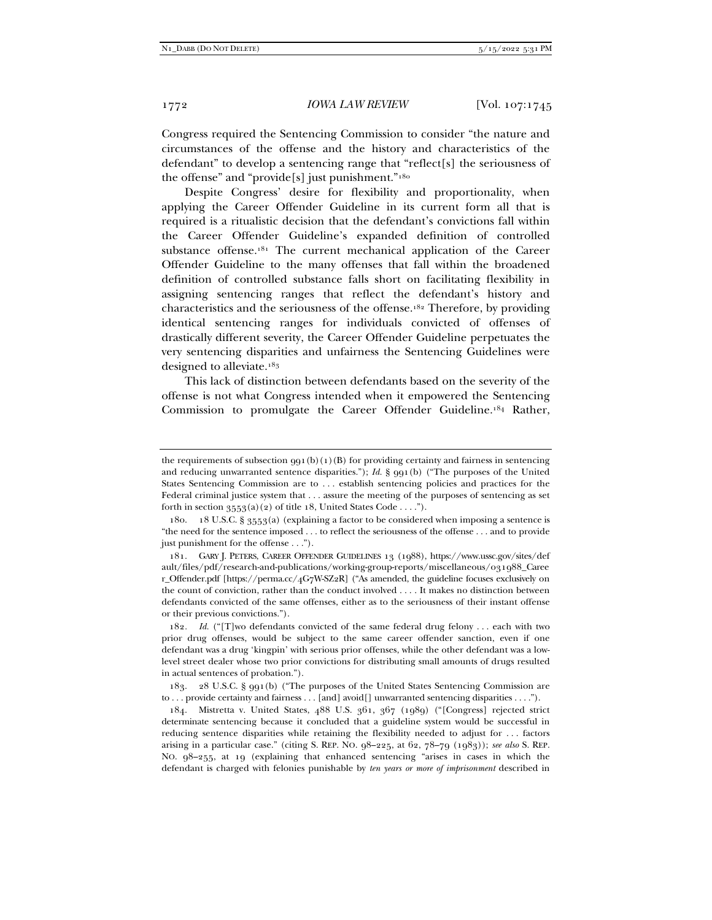Congress required the Sentencing Commission to consider "the nature and circumstances of the offense and the history and characteristics of the defendant" to develop a sentencing range that "reflect[s] the seriousness of the offense" and "provide<sup>[s]</sup> just punishment."<sup>180</sup>

Despite Congress' desire for flexibility and proportionality, when applying the Career Offender Guideline in its current form all that is required is a ritualistic decision that the defendant's convictions fall within the Career Offender Guideline's expanded definition of controlled substance offense.<sup>181</sup> The current mechanical application of the Career Offender Guideline to the many offenses that fall within the broadened definition of controlled substance falls short on facilitating flexibility in assigning sentencing ranges that reflect the defendant's history and characteristics and the seriousness of the offense.182 Therefore, by providing identical sentencing ranges for individuals convicted of offenses of drastically different severity, the Career Offender Guideline perpetuates the very sentencing disparities and unfairness the Sentencing Guidelines were designed to alleviate.183

This lack of distinction between defendants based on the severity of the offense is not what Congress intended when it empowered the Sentencing Commission to promulgate the Career Offender Guideline.184 Rather,

the requirements of subsection  $qq1(b)(1)(B)$  for providing certainty and fairness in sentencing and reducing unwarranted sentence disparities."); *Id.* § 991(b) ("The purposes of the United States Sentencing Commission are to . . . establish sentencing policies and practices for the Federal criminal justice system that . . . assure the meeting of the purposes of sentencing as set forth in section  $3553(a)(2)$  of title 18, United States Code . . . .").

 <sup>180. 18</sup> U.S.C. § 3553(a) (explaining a factor to be considered when imposing a sentence is "the need for the sentence imposed . . . to reflect the seriousness of the offense . . . and to provide just punishment for the offense . . .").

 <sup>181.</sup> GARY J. PETERS, CAREER OFFENDER GUIDELINES 13 (1988), https://www.ussc.gov/sites/def ault/files/pdf/research-and-publications/working-group-reports/miscellaneous/031988\_Caree r\_Offender.pdf [https://perma.cc/4G7W-SZ2R] ("As amended, the guideline focuses exclusively on the count of conviction, rather than the conduct involved . . . . It makes no distinction between defendants convicted of the same offenses, either as to the seriousness of their instant offense or their previous convictions.").

<sup>182.</sup> *Id.* ("[T]wo defendants convicted of the same federal drug felony ... each with two prior drug offenses, would be subject to the same career offender sanction, even if one defendant was a drug 'kingpin' with serious prior offenses, while the other defendant was a lowlevel street dealer whose two prior convictions for distributing small amounts of drugs resulted in actual sentences of probation.").

 <sup>183. 28</sup> U.S.C. § 991(b) ("The purposes of the United States Sentencing Commission are to . . . provide certainty and fairness . . . [and] avoid[] unwarranted sentencing disparities . . . .").

 <sup>184.</sup> Mistretta v. United States, 488 U.S. 361, 367 (1989) ("[Congress] rejected strict determinate sentencing because it concluded that a guideline system would be successful in reducing sentence disparities while retaining the flexibility needed to adjust for . . . factors arising in a particular case." (citing S. REP. NO. 98–225, at 62, 78–79 (1983)); *see also* S. REP. NO. 98–255, at 19 (explaining that enhanced sentencing "arises in cases in which the defendant is charged with felonies punishable by *ten years or more of imprisonment* described in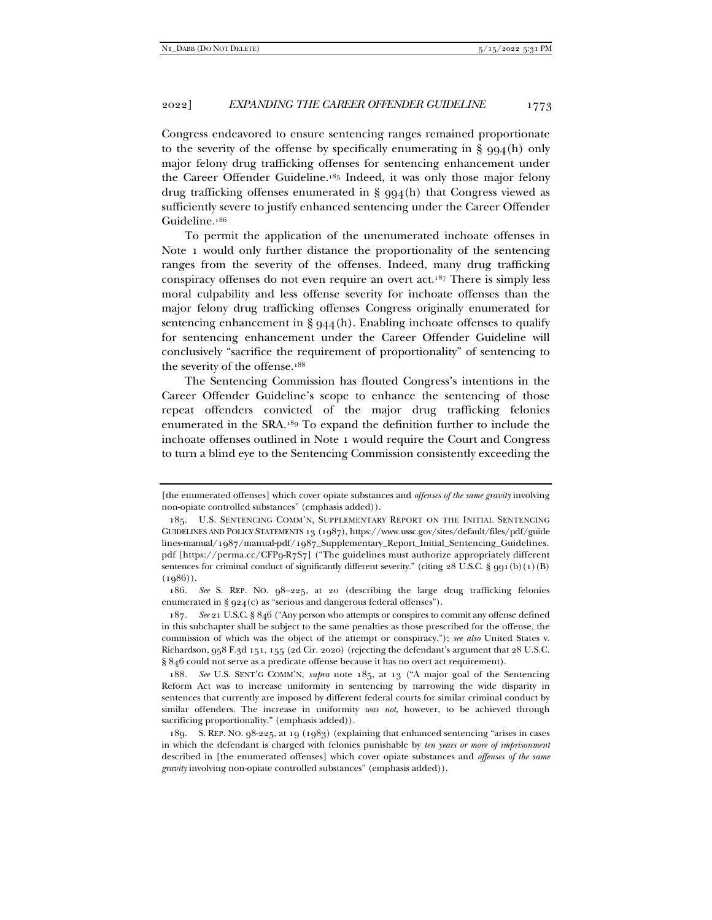Congress endeavored to ensure sentencing ranges remained proportionate to the severity of the offense by specifically enumerating in  $\S$   $994(h)$  only major felony drug trafficking offenses for sentencing enhancement under the Career Offender Guideline.185 Indeed, it was only those major felony drug trafficking offenses enumerated in  $\S qq4(h)$  that Congress viewed as sufficiently severe to justify enhanced sentencing under the Career Offender Guideline.186

To permit the application of the unenumerated inchoate offenses in Note 1 would only further distance the proportionality of the sentencing ranges from the severity of the offenses. Indeed, many drug trafficking conspiracy offenses do not even require an overt act.187 There is simply less moral culpability and less offense severity for inchoate offenses than the major felony drug trafficking offenses Congress originally enumerated for sentencing enhancement in  $\S$  944(h). Enabling inchoate offenses to qualify for sentencing enhancement under the Career Offender Guideline will conclusively "sacrifice the requirement of proportionality" of sentencing to the severity of the offense.188

The Sentencing Commission has flouted Congress's intentions in the Career Offender Guideline's scope to enhance the sentencing of those repeat offenders convicted of the major drug trafficking felonies enumerated in the SRA.189 To expand the definition further to include the inchoate offenses outlined in Note 1 would require the Court and Congress to turn a blind eye to the Sentencing Commission consistently exceeding the

<sup>[</sup>the enumerated offenses] which cover opiate substances and *offenses of the same gravity* involving non-opiate controlled substances" (emphasis added)).

 <sup>185.</sup> U.S. SENTENCING COMM'N, SUPPLEMENTARY REPORT ON THE INITIAL SENTENCING GUIDELINES AND POLICY STATEMENTS 13 (1987), https://www.ussc.gov/sites/default/files/pdf/guide lines-manual/1987/manual-pdf/1987\_Supplementary\_Report\_Initial\_Sentencing\_Guidelines. pdf [https://perma.cc/CFP9-R7S7] ("The guidelines must authorize appropriately different sentences for criminal conduct of significantly different severity." (citing  $28$  U.S.C. § 991(b)(1)(B)  $(1986)$ .

<sup>186</sup>*. See* S. REP. NO. 98–225, at 20 (describing the large drug trafficking felonies enumerated in § 924(c) as "serious and dangerous federal offenses").

<sup>187</sup>*. See* 21 U.S.C. § 846 ("Any person who attempts or conspires to commit any offense defined in this subchapter shall be subject to the same penalties as those prescribed for the offense, the commission of which was the object of the attempt or conspiracy."); *see also* United States v. Richardson, 958 F.3d 151, 155 (2d Cir. 2020) (rejecting the defendant's argument that 28 U.S.C. § 846 could not serve as a predicate offense because it has no overt act requirement).

<sup>188</sup>*. See* U.S. SENT'G COMM'N, *supra* note 185, at 13 ("A major goal of the Sentencing Reform Act was to increase uniformity in sentencing by narrowing the wide disparity in sentences that currently are imposed by different federal courts for similar criminal conduct by similar offenders. The increase in uniformity *was not*, however, to be achieved through sacrificing proportionality." (emphasis added)).

 <sup>189.</sup> S. REP. NO. 98-225, at 19 (1983) (explaining that enhanced sentencing "arises in cases in which the defendant is charged with felonies punishable by *ten years or more of imprisonment* described in [the enumerated offenses] which cover opiate substances and *offenses of the same gravity* involving non-opiate controlled substances" (emphasis added)).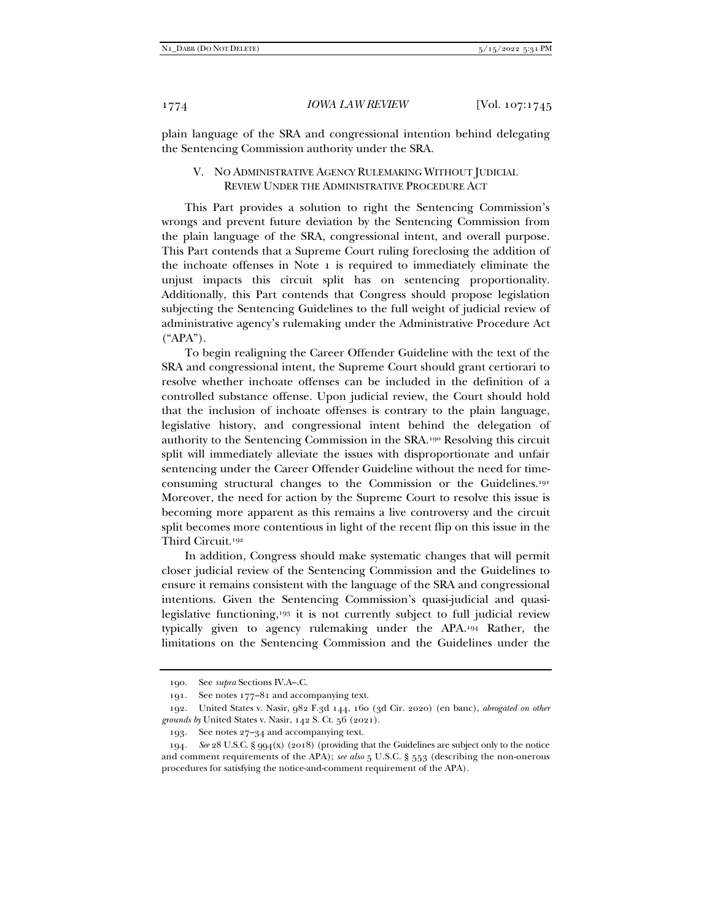plain language of the SRA and congressional intention behind delegating the Sentencing Commission authority under the SRA.

V. NO ADMINISTRATIVE AGENCY RULEMAKING WITHOUT JUDICIAL REVIEW UNDER THE ADMINISTRATIVE PROCEDURE ACT

This Part provides a solution to right the Sentencing Commission's wrongs and prevent future deviation by the Sentencing Commission from the plain language of the SRA, congressional intent, and overall purpose. This Part contends that a Supreme Court ruling foreclosing the addition of the inchoate offenses in Note 1 is required to immediately eliminate the unjust impacts this circuit split has on sentencing proportionality. Additionally, this Part contends that Congress should propose legislation subjecting the Sentencing Guidelines to the full weight of judicial review of administrative agency's rulemaking under the Administrative Procedure Act ("APA").

To begin realigning the Career Offender Guideline with the text of the SRA and congressional intent, the Supreme Court should grant certiorari to resolve whether inchoate offenses can be included in the definition of a controlled substance offense. Upon judicial review, the Court should hold that the inclusion of inchoate offenses is contrary to the plain language, legislative history, and congressional intent behind the delegation of authority to the Sentencing Commission in the SRA.190 Resolving this circuit split will immediately alleviate the issues with disproportionate and unfair sentencing under the Career Offender Guideline without the need for timeconsuming structural changes to the Commission or the Guidelines.191 Moreover, the need for action by the Supreme Court to resolve this issue is becoming more apparent as this remains a live controversy and the circuit split becomes more contentious in light of the recent flip on this issue in the Third Circuit.192

In addition, Congress should make systematic changes that will permit closer judicial review of the Sentencing Commission and the Guidelines to ensure it remains consistent with the language of the SRA and congressional intentions. Given the Sentencing Commission's quasi-judicial and quasilegislative functioning,193 it is not currently subject to full judicial review typically given to agency rulemaking under the APA.194 Rather, the limitations on the Sentencing Commission and the Guidelines under the

 <sup>190.</sup> See *supra* Sections IV.A–.C.

 <sup>191.</sup> See notes 177–81 and accompanying text.

 <sup>192.</sup> United States v. Nasir, 982 F.3d 144, 160 (3d Cir. 2020) (en banc), *abrogated on other grounds by* United States v. Nasir, 142 S. Ct. 56 (2021).

 <sup>193.</sup> See notes 27–34 and accompanying text.

<sup>194</sup>*. See* 28 U.S.C. § 994(x) (2018) (providing that the Guidelines are subject only to the notice and comment requirements of the APA); *see also* 5 U.S.C. § 553 (describing the non-onerous procedures for satisfying the notice-and-comment requirement of the APA).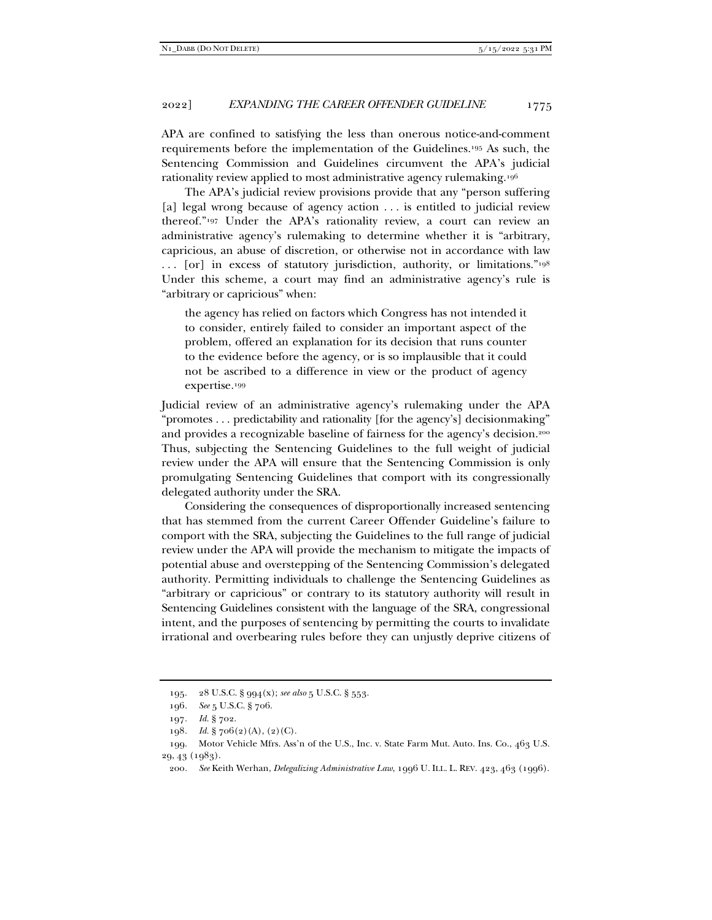APA are confined to satisfying the less than onerous notice-and-comment requirements before the implementation of the Guidelines.195 As such, the Sentencing Commission and Guidelines circumvent the APA's judicial rationality review applied to most administrative agency rulemaking.196

The APA's judicial review provisions provide that any "person suffering [a] legal wrong because of agency action ... is entitled to judicial review thereof."197 Under the APA's rationality review, a court can review an administrative agency's rulemaking to determine whether it is "arbitrary, capricious, an abuse of discretion, or otherwise not in accordance with law ... [or] in excess of statutory jurisdiction, authority, or limitations."<sup>198</sup> Under this scheme, a court may find an administrative agency's rule is "arbitrary or capricious" when:

the agency has relied on factors which Congress has not intended it to consider, entirely failed to consider an important aspect of the problem, offered an explanation for its decision that runs counter to the evidence before the agency, or is so implausible that it could not be ascribed to a difference in view or the product of agency expertise.199

Judicial review of an administrative agency's rulemaking under the APA "promotes . . . predictability and rationality [for the agency's] decisionmaking" and provides a recognizable baseline of fairness for the agency's decision.<sup>200</sup> Thus, subjecting the Sentencing Guidelines to the full weight of judicial review under the APA will ensure that the Sentencing Commission is only promulgating Sentencing Guidelines that comport with its congressionally delegated authority under the SRA.

Considering the consequences of disproportionally increased sentencing that has stemmed from the current Career Offender Guideline's failure to comport with the SRA, subjecting the Guidelines to the full range of judicial review under the APA will provide the mechanism to mitigate the impacts of potential abuse and overstepping of the Sentencing Commission's delegated authority. Permitting individuals to challenge the Sentencing Guidelines as "arbitrary or capricious" or contrary to its statutory authority will result in Sentencing Guidelines consistent with the language of the SRA, congressional intent, and the purposes of sentencing by permitting the courts to invalidate irrational and overbearing rules before they can unjustly deprive citizens of

 <sup>195. 28</sup> U.S.C. § 994(x); *see also* 5 U.S.C. § 553.

<sup>196</sup>*. See* 5 U.S.C. § 706.

<sup>197</sup>*. Id.* § 702.

<sup>198</sup>*. Id.* § 706(2)(A), (2)(C).

 <sup>199.</sup> Motor Vehicle Mfrs. Ass'n of the U.S., Inc. v. State Farm Mut. Auto. Ins. Co., 463 U.S. 29, 43 (1983).

<sup>200</sup>*. See* Keith Werhan, *Delegalizing Administrative Law*, 1996 U. ILL. L. REV. 423, 463 (1996).